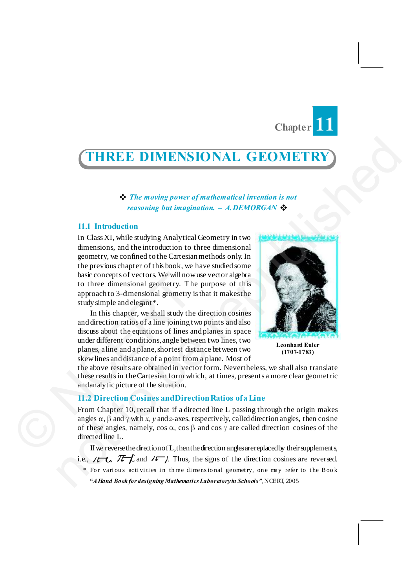# **Chapter 11**

THREE D IMENSIONAL G EOMETRY 46 3

## **THREE DIMENSIONAL GEOMETRY**

v *The moving power of mathematical invention is not reasoning but imagination. – A.DEMORGAN* v

## **11.1 Introduction**

In Class XI, while studying Analytical Geometry in two dimensions, and the introduction to three dimensional geometry, we confined to the Cartesian methods only. In the previous chapter of this book, we have studied some basic concepts of vectors. We will now use vector algebra to three dimensional geometry. The purpose of this approach to 3-dimensional geometry is that it makes the study simple and elegant\*. **THREE DIMENSIONAL GEOMETRY**<br> **The moving ovver of mathematical invention is not**<br>
reasoning but imagination. - A DEMORGAN<br>
11.1 Introduction<br>
In Class XI, while studying Analytical Coconery in two<br>
dimensions, and the in

In this chapter, we shall study the direction cosines and direction ratios of a line joining two points and also discuss about the equations of lines and planes in space under different conditions, angle between two lines, two planes, a line and a plane, shortest distance between two skew lines and distance of a point from a plane. Most of basic concepts of vectors. We will now<br>to three dimensional geometry. The<br>approach to 3-dimensional geometry. The<br>approach to 3-dimensional geometry.<br>In this chapter, we shall study the<br>and direction ratios of a line join

**Leonhard Euler (1707-1783)**

the above results are obtained in vector form. Nevertheless, we shall also translate these results in the Cartesian form which, at times, presents a more clear geometric and analytic picture of the situation.

#### **11.2 Direction Cosines and Direction Ratios of a Line**

From Chapter 10, recall that if a directed line L passing through the origin makes angles  $\alpha$ ,  $\beta$  and  $\gamma$  with *x*,  $\gamma$  and *z*-axes, respectively, called direction angles, then cosine of these angles, namely,  $\cos \alpha$ ,  $\cos \beta$  and  $\cos \gamma$  are called direction cosines of the directed line L.

If we reverse the direction of L, then the direction angles are replaced by their supplements, i.e.,  $\mathcal{H}-L$ ,  $\mathcal{T}-L$  and  $\mathcal{H}-L$ . Thus, the signs of the direction cosines are reversed.

For various activities in three dimensional geometry, one may refer to the Book *"A Hand Book for designing Mathematics Laboratory in Schools",* NCERT, 2005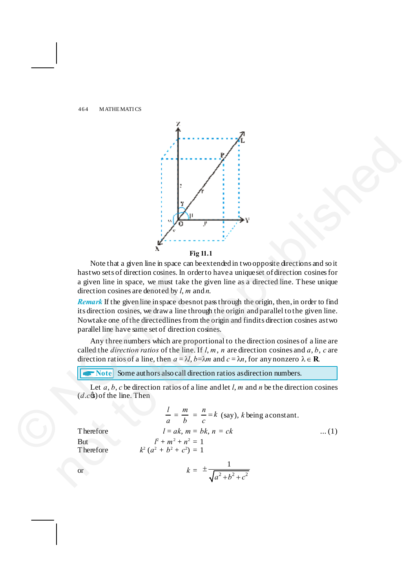

## **Fig 11.1**

Note that a given line in space can be extended in two opposite directions and so it has two sets of direction cosines. In order to have a unique set of direction cosines for a given line in space, we must take the given line as a directed line. These unique direction cosines are denoted by *l*, *m* and *n*.

*Remark* If the given line in space does not pass through the origin, then, in order to find its direction cosines, we draw a line through the origin and parallel to the given line. Now take one of the directed lines from the origin and find its direction cosines as two parallel line have same set of direction cosines.

Any three numbers which are proportional to the direction cosines of a line are called the *direction ratios* of the line. If  $l, m, n$  are direction cosines and  $a, b, c$  are direction ratios of a line, then  $a = \lambda l$ ,  $b = \lambda m$  and  $c = \lambda n$ , for any nonzero  $\lambda \in \mathbb{R}$ .

**T** Note Some authors also call direction ratios as direction numbers.

Let *a*, *b*, *c* be direction ratios of a line and let *l*, *m* and *n* be the direction cosines  $(d.c$  $\circ)$  of the line. Then

**4**  
\nNote that a given line in space can be extended in two opposite directions and so it  
\nhas two sets of direction cosines. In order to have a unique set of direction cosines for  
\na given line in space, we must take the given line as a directed line. These unique  
\ndirection cosines are denoted by l, m and n.  
\n*Remark* If the given line in space doesnot pass through the origin, then, in order to find  
\nits direction cosines, we draw a line through the origin and parallel to the given line.  
\nNow take one of the direction *resim* and find its direction cosines as two  
\nparallel line have same set of direction cosines.  
\nAny three numbers which are proportional to the direction cosines and *a*, *b*, *c* are  
\ncalled the *direction ratios* of the line. If l, m, n are direction cosines and *a*, *b*, *c* are  
\ndirectation ratios of a line, then 
$$
a = \lambda l
$$
,  $b = \lambda m$  and  $c = \lambda n$ , for any nonzero  $\lambda \in \mathbb{R}$ .  
\n**>Note** Some authors also call direction ratios as direction numbers.  
\nLet *a*, *b*, *c* be direction ratios of a line and let l, m and n be the direction cosines  
\n(d.c,s) of the line. Then  
\n
$$
\frac{l}{a} = \frac{m}{b} = \frac{n}{c} = k
$$
 (say), *k* being a constant.  
\nTherefore  
\n
$$
l = a k
$$
,  $m = bk$ ,  $n = ck$  ...(1)  
\nBut  
\n
$$
\frac{l}{r + m^2 + n^2} = 1
$$
  
\nTherefore  
\n
$$
k^2(a^2 + b^2 + c^2) = 1
$$
  
\nor  
\n
$$
k = \pm \frac{1}{\sqrt{a^2 + b^2 + c^2}}
$$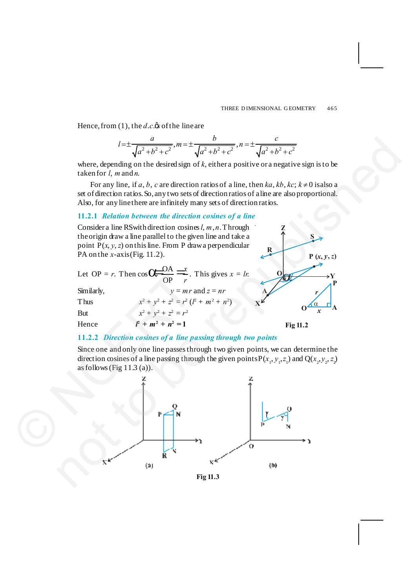Hence, from (1), the  $d.c$  *s* of the line are

$$
l = \pm \frac{a}{\sqrt{a^2 + b^2 + c^2}}, m = \pm \frac{b}{\sqrt{a^2 + b^2 + c^2}}, n = \pm \frac{c}{\sqrt{a^2 + b^2 + c^2}}
$$

where, depending on the desired sign of *k*, either a positive or a negative sign is to be taken for *l*, *m* and *n*.

For any line, if a, b, c are direction ratios of a line, then  $ka, kb, kc; k \neq 0$  is also a set of direction ratios. So, any two sets of direction ratios of a line are also proportional. Also, for any line there are infinitely many sets of direction ratios.

## **11.2.1** *Relation between the direction cosines of a line*



## **11.2.2** *Direction cosines of a line passing through two points*

Since one and only one line passes through two given points, we can determine the direction cosines of a line passing through the given points  $P(x_1, y_1, z_1)$  and  $Q(x_2, y_2, z_2)$ as follows (Fig  $11.3$  (a)).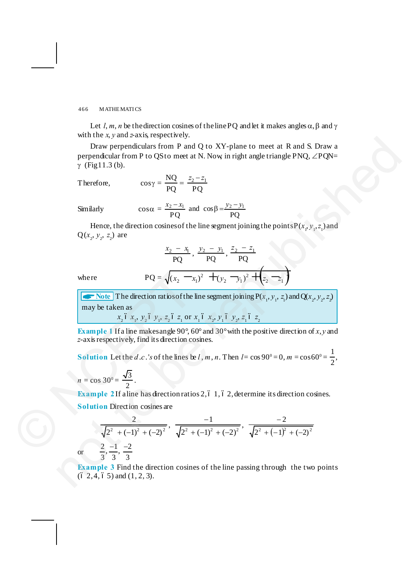Let *l*, *m*, *n* be the direction cosines of the line PQ and let it makes angles  $\alpha$ ,  $\beta$  and  $\gamma$ with the *x*, *y* and *z*-axis, respectively.

Draw perpendiculars from P and Q to XY-plane to meet at R and S. Draw a perpendicular from P to QS to meet at N. Now, in right angle triangle PNQ,  $\angle$ PQN=  $γ$  (Fig 11.3 (b).

Therefore,  $\qquad \qquad$ 

$$
\cos\gamma = \frac{NQ}{PQ} = \frac{z_2 - z_1}{PQ}
$$

Similarly

$$
\cos \alpha = \frac{x_2 - x_1}{PQ} \text{ and } \cos \beta = \frac{y_2 - y_1}{PQ}
$$

Hence, the direction cosines of the line segment joining the points  $P(x_1, y_1, z_1)$  and  $Q(x_2, y_2, z_2)$  are

$$
\frac{x_2 - x_1}{PQ}, \frac{y_2 - y_1}{PQ}, \frac{z_2 - z_1}{PQ}
$$

where 
$$
PQ = \sqrt{(x_2 - x_1)^2 + (y_2 - y_1)^2 + (z_2 - z_1)}
$$

 $\bullet \bullet$  Note The direction ratios of the line segment joining P( $x_1, y_1, z_1$ ) and Q( $x_2, y_2, z_2$ ) may be taken as *x*<sub>2</sub>  $\delta$  *x*<sub>1</sub>, *y*<sub>2</sub>  $\delta$  *y*<sub>1</sub>, *z*<sub>2</sub>  $\delta$  *z*<sub>1</sub> or *x*<sub>1</sub>  $\delta$  *x*<sub>2</sub>, *y*<sub>1</sub>  $\delta$  *y*<sub>2</sub>, *z*<sub>1</sub>  $\delta$  *z*<sub>2</sub>

**Example 1** If a line makes angle 90°, 60° and 30° with the positive direction of *x*, *y* and *z*-axis respectively, find its direction cosines.

**Solution** Let the *d* .*c*.'*s* of the lines be *l*, *m*, *n*. Then *l* = cos 90<sup>°</sup> = 0, *m* = cos 60<sup>°</sup> =  $\frac{1}{2}$ 2 ,

 $n = \cos 30^{\circ} = \frac{\sqrt{3}}{2}.$ 

or

**Example 2** If a line has direction ratios 2, 6 1, 6 2, determine its direction cosines. **Solution** Direction cosines are

<sup>2</sup> <sup>2</sup> <sup>2</sup> 2 ( 1) ( 2) 2 <sup>+</sup> - <sup>+</sup> - , 2 <sup>2</sup> <sup>2</sup> <sup>2</sup> ( 1) ( 2) 1 + - + - - , ( ) <sup>2</sup> <sup>2</sup> <sup>2</sup> <sup>2</sup> <sup>1</sup> ( 2) 2 + - + - - 2 1 2 , , 3 3 3 - - © NCERT not to be republished

**Example 3** Find the direction cosines of the line passing through the two points  $(6, 2, 4, 6, 5)$  and  $(1, 2, 3)$ .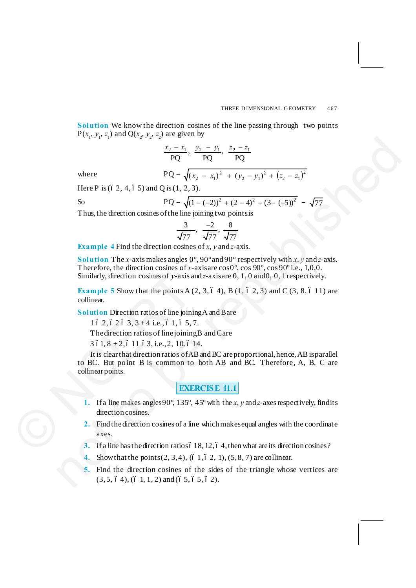**Solution** We know the direction cosines of the line passing through two points  $P(x_1, y_1, z_1)$  and  $Q(x_2, y_2, z_2)$  are given by

 $\frac{x_2 - x_1}{PQ}, \frac{y_2 - y_1}{PQ}, \frac{z_2 - z_1}{PQ}$ 

where 
$$
PQ = \sqrt{(x_2 - x_1)^2 + (y_2 - y_1)^2 + (z_2 - z_1)^2}
$$

Here P is  $(62, 4, 65)$  and Q is  $(1, 2, 3)$ .

So 
$$
PQ = \sqrt{(1 - (-2))^2 + (2 - 4)^2 + (3 - (-5))^2} = \sqrt{77}
$$

Thus, the direction cosines of the line joining two points is

$$
\frac{3}{\sqrt{77}}, \frac{-2}{\sqrt{77}}, \frac{8}{\sqrt{77}}
$$

**Example 4** Find the direction cosines of *x*, *y* and *z*-axis.

**Solution** The *x*-axis makes angles 0°, 90° and 90° respectively with *x*, *y* and *z*-axis. Therefore, the direction cosines of *x*-axis are  $\cos 0^\circ$ ,  $\cos 90^\circ$ ,  $\cos 90^\circ$  i.e., 1,0,0. Similarly, direction cosines of *y*-axis and *z*-axis are 0, 1, 0 and 0, 0, 1 respectively.

**Example 5** Show that the points A  $(2, 3, 6, 4)$ , B  $(1, 6, 2, 3)$  and C  $(3, 8, 6, 11)$  are collinear.

**Solution** Direction ratios of line joining A and B are

```
1\ 6\ 2, 6\ 2\ 6\ 3, 3 + 4\i.e., 61, 65, 7.
```
The direction ratios of line joining B and Care

```
3\,61, 8 + 2, 6\,11\,63, i.e., 2, 10, 6\,14.
```
It is clear that direction ratios of AB and BC are proportional, hence, AB is parallel to BC. But point B is common to both AB and BC. Therefore, A, B, C are collinear points. Similarly, direction cosines of y-axis a<br> **Example 5** Show that the points A (<br>
collinear.<br>
Solution Direction ratios of line joini<br>
16 2, 6 2 6 3, 3 + 4 i.e., 6 1, 6 5,<br>
The direction ratios of line joining<br>
3 61, 8 + 2, notice of the republished and the republic of the republic of the republic of the republic of  $\sqrt{1-x}$ ,  $\frac{y_2-y_1}{1-y_2}$ ,  $\frac{z_2-z_1}{1-y_2}$ <br>
Here P is (6.2, 4, 6.5) and Q is (1, 2, 3).<br>
So PQ -  $\sqrt{(1-(2))^2 + (2-4)^2 + (3-5)^2}$ <br>

**EXERCISE 11.1**

- **1.** If a line makes angles 90 $^{\circ}$ , 135 $^{\circ}$ , 45 $^{\circ}$  with the *x*, *y* and *z*-axes respectively, find its direction cosines.
- **2.** Find the direction cosines of a line which makes equal angles with the coordinate axes.
- **3.** If a line has the direction ratios of 18, 12, of 4, then what are its direction cosines?
- Show that the points  $(2, 3, 4)$ ,  $(6, 1, 6, 2, 1)$ ,  $(5, 8, 7)$  are collinear.
- **5.** Find the direction cosines of the sides of the triangle whose vertices are  $(3, 5, 6, 4), (6, 1, 1, 2)$  and  $(6, 5, 6, 5, 6, 2)$ .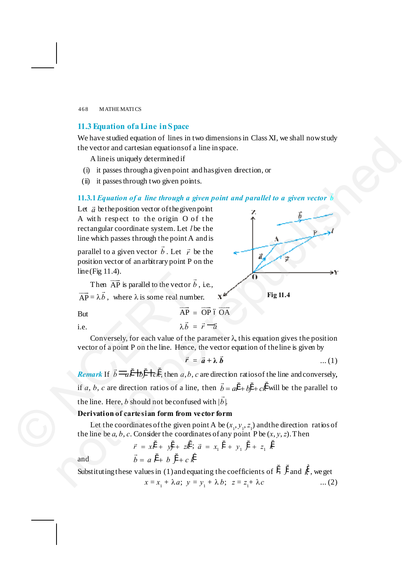## **11.3 Equation of a Line in Space**

We have studied equation of lines in two dimensions in Class XI, we shall now study the vector and cartesian equations of a line in space.

A line is uniquely determined if

- (i) it passes through a given point and has given direction, or
- (ii) it passes through two given points.

**11.3.1***Equation of a line through a given point and parallel to a given vector* <sup>r</sup> *b*

Let  $\vec{a}$  be the position vector of the given point A with respect to the origin  $O$  of the rectangular coordinate system. Let *l* be the line which passes through the point A and is

parallel to a given vector  $\vec{b}$ . Let  $\vec{r}$  be the position vector of an arbitrary point P on the line (Fig 11.4).

Then  $\overrightarrow{AP}$  is parallel to the vector  $\overrightarrow{b}$ , i.e.,  $\overrightarrow{AP} = \lambda \overrightarrow{b}$ , where  $\lambda$  is some real number.

**Fig 11.4**

But AP

i.e.  $\lambda b$  $\vec{b} = \vec{r} - \vec{a}$ 

 $\overrightarrow{AP} = \overrightarrow{OP}$  ó  $\overrightarrow{OA}$ 

Conversely, for each value of the parameter  $\lambda$ , this equation gives the position vector of a point P on the line. Hence, the vector equation of the line is given by

$$
\vec{r} = \vec{a} + \lambda \vec{b} \qquad \qquad \dots (1)
$$

*Remark* If  $\vec{b} = a^{\dagger} + b^{\dagger} + c\vec{k}$ , then *a*, *b*, *c* are direction ratios of the line and conversely, if *a*, *b*, *c* are direction ratios of a line, then  $\vec{b} = a\hat{i} + b\hat{j} + c\hat{k}$  will be the parallel to the line. Here, *b* should not be confused with  $|\vec{b}|$ . Then  $\overrightarrow{AP}$  is parallel to the vector  $\overrightarrow{AP} = \lambda \overrightarrow{b}$ , where  $\lambda$  is some real num<br>
But  $\overrightarrow{AP} = \lambda \overrightarrow{b}$ , where  $\lambda$  is some real num<br>
But  $\overrightarrow{AP} = \lambda \overrightarrow{b}$ .<br>
Conversely, for each value of the<br>
vector of a point P on We have stated equations of lines in two dimensions in Class XI, we shall now stated<br>
the vector and carries in oquital one in space.<br>
A line is uniquely determined if<br>
(i) it passes through a given points.<br>
(i) it passes

## **Derivation of cartesian form from vector form**

Let the coordinates of the given point A be  $(x_1, y_1, z_1)$  and the direction ratios of the line be  $a, b, c$ . Consider the coordinates of any point P be  $(x, y, z)$ . Then

and 
$$
\vec{r} = x\hat{i} + y\hat{j} + z\hat{k} \; ; \; \vec{a} = x_1 \; \hat{i} + y_1 \; \hat{j} + z_1 \; \hat{k}
$$
\n
$$
\vec{b} = a \; \hat{i} + b \; \hat{j} + c \; \hat{k}
$$

Substituting these values in (1) and equating the coefficients of 
$$
\ddot{i}
$$
,  $\ddot{j}$  and  $\ddot{k}$ , we get  
\n $x = x_1 + \lambda a$ ;  $y = y_1 + \lambda b$ ;  $z = z_1 + \lambda c$  ... (2)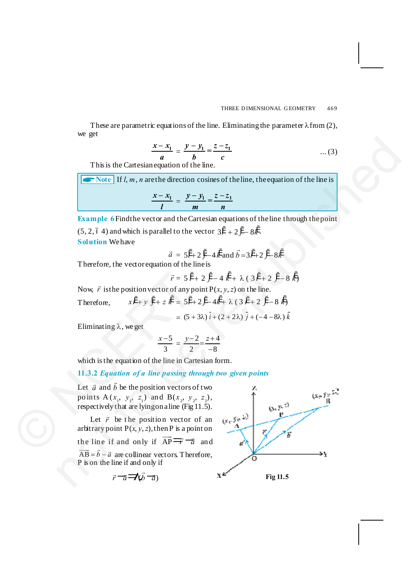These are parametric equations of the line. Eliminating the parameter  $\lambda$  from (2), we get

$$
\frac{x - x_1}{a} = \frac{y - y_1}{b} = \frac{z - z_1}{c}
$$
 ... (3)

This is the Cartesian equation of the line.

**ANDRE** If *l, m, n* are the direction cosines of the line, the equation of the line is

$$
\frac{x-x_1}{l}=\frac{y-y_1}{m}=\frac{z-z_1}{n}
$$

**Example 6** Find the vector and the Cartesian equations of the line through the point

(5, 2, 6 4) and which is parallel to the vector  $3i + 2j - 8k^2$ . **Solution** We have

$$
\vec{a} = 5\hat{i} + 2\hat{j} - 4\hat{k}
$$
 and  $\vec{b} = 3\hat{i} + 2\hat{j} - 8\hat{k}$ 

Therefore, the vector equation of the line is

$$
\vec{r} = 5\,\ddot{i} + 2\,\ddot{j} - 4\,\dot{k} + \lambda\,(\,3\,\ddot{i} + 2\,\ddot{j} - 8\,\dot{k})
$$

Now,  $\vec{r}$  is the position vector of any point  $P(x, y, z)$  on the line.

Therefore,  $x\ddot{i} + y\ddot{j} + z\ddot{k} = 5\ddot{i} + 2\ddot{j} - 4\dot{k} + \lambda (3\ddot{i} + 2\ddot{j} - 8\dot{k})$ 

$$
= (5 + 3\lambda) \hat{i} + (2 + 2\lambda) \hat{j} + (-4 - 8\lambda) \hat{k}
$$

Eliminating  $\lambda$ , we get

$$
\frac{x-5}{3} = \frac{y-2}{2} = \frac{z+4}{-8}
$$

which is the equation of the line in Cartesian form.

## **11.3.2** *Equation of a line passing through two given points*

Let  $\vec{a}$  and  $\vec{b}$  be the position vectors of two points  $A(x_1, y_1, z_1)$  and  $B(x_2, y_2, z_2)$ , respectively that are lying on a line (Fig 11.5).  $\vec{r} = 5 \hat{i}$ <br>
Now,  $\vec{r}$  is the position vector of any p<br>
Therefore,  $x\hat{i} + y \hat{j} + z \hat{k} = 5\hat{i} + z = 5\hat{i} + z = 5\hat{i} + z = 5\hat{i} + z = 5\hat{i} + z = 5\hat{i} + z = 5\hat{i} + z = 5\hat{i} + z = 5\hat{i} + z = 5\hat{i} + z = 5\hat{i} + z = 5\hat{i} + z = 5\hat{i} + z = 5\hat{j} + z = 5\$ This is the Cartesian<br>equation of the Ene.<br>
This is the Cartesian equation of the Ene.<br>  $\frac{x - x_1}{x} = \frac{y - y_1}{m} = \frac{z - z_1}{n}$ <br>
Example 6 Find the vector and the Cartesian equations of the line through the point<br>
(5.2.64) a

Let  $\vec{r}$  be the position vector of an arbitrary point  $P(x, y, z)$ , then P is a point on

the line if and only if  $\overrightarrow{AP} \rightarrow \overrightarrow{a}$  and

 $\overrightarrow{AB} = \overrightarrow{b} - \overrightarrow{a}$  are collinear vectors. Therefore, P is on the line if and only if

$$
\vec{r} = \vec{a} \vec{v} - \vec{a}
$$
 Fig 11.5

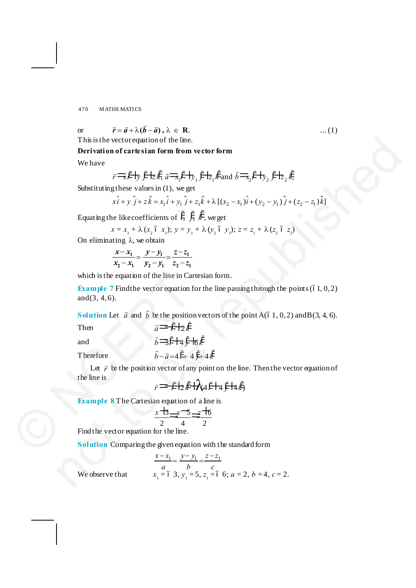or 
$$
\vec{r} = \vec{a} + \lambda(\vec{b} - \vec{a}), \lambda \in \mathbb{R}.
$$
 ... (1)

This is the vector equation of the line.

**Derivation of cartesian form from vector form**

We have

$$
\vec{r} = \vec{i} + \vec{j} + \vec{k} \cdot \vec{k} \cdot \vec{a} = \vec{i} + \vec{k} + \vec{k} \cdot \vec{k}
$$
 and 
$$
\vec{b} = \vec{i} + \vec{k} \cdot \vec{k} \cdot \vec{k}
$$

Substituting these values in (1), we get

$$
x\hat{i} + y\hat{j} + z\hat{k} = x_1\hat{i} + y_1\hat{j} + z_1\hat{k} + \lambda[(x_2 - x_1)\hat{i} + (y_2 - y_1)\hat{j} + (z_2 - z_1)\hat{k}]
$$

Equating the like coefficients of  $\ddot{i}$ ,  $\ddot{j}$ ,  $\ddot{k}$ , we get

$$
x = x_1 + \lambda (x_2 \land x_1); y = y_1 + \lambda (y_2 \land y_1); z = z_1 + \lambda (z_2 \land z_1)
$$

On eliminating  $\lambda$ , we obtain

$$
\frac{x - x_1}{x_2 - x_1} = \frac{y - y_1}{y_2 - y_1} = \frac{z - z_1}{z_2 - z_1}
$$

which is the equation of the line in Cartesian form.

**Example 7** Find the vector equation for the line passing through the points  $(61, 0, 2)$ and  $(3, 4, 6)$ .

**Solution** Let  $\vec{a}$  and  $\vec{b}$  be the position vectors of the point A(61, 0, 2) and B(3, 4, 6). Then  $\vec{a} = \vec{t} + 2 \vec{k}$ which is the equation of the line in Car<br>
Example 7 Find the vector equation f<br>
and (3, 4, 6).<br>
Solution Let  $\vec{a}$  and  $\vec{b}$  be the position<br>
Then  $\vec{a} = \vec{r} + 2\vec{k}$ <br>
and  $\vec{b} = 3\vec{r} + 4\vec{y} + 7$ <br>
Therefore  $\vec{b}$ This is the vector requision of the line.<br>
Derivation of cartes in form we vetor form<br>
We have<br>  $r = \frac{1}{2}r^2 + \frac{1}{2}r^2 + \frac{1}{2}k$ ,  $a = \frac{1}{2}r^2 + \frac{1}{2}r^2 + \frac{1}{2}k$ ,  $k$  and  $\delta = \frac{1}{2}r^2 + \frac{1}{2}r^2 + \frac{1}{2}k$ .<br>
Substit

$$
\vec{b} = \vec{i} + 4\vec{j} + 6\vec{k}
$$

$$
b \rightarrow l \top 4 \, j \top 6 \, k
$$

Therefore  $\vec{b} - \vec{a} = 4i + 4j + 4k$ 

Let  $\vec{r}$  be the position vector of any point on the line. Then the vector equation of the line is

$$
\vec{r} = \vec{r} + 2\vec{k} + \lambda \vec{a} \vec{i} + 4\vec{j} + 4\vec{k}
$$

**Example 8** The Cartesian equation of a line is<br> $\frac{x + 3}{2} \rightarrow \frac{y - 5}{4} \rightarrow \frac{z + 6}{2}$ 

$$
\frac{x+3}{2} \rightarrow \frac{-5}{4} \rightarrow \frac{z+6}{2}
$$

Find the vector equation for the line.

**Solution** Comparing the given equation with the standard form

$$
\frac{x - x_1}{a} = \frac{y - y_1}{b} = \frac{z - z_1}{c}
$$
  
x<sub>1</sub> = 6 3, y<sub>1</sub> = 5, z<sub>1</sub> = 6 6; a = 2, b = 4, c = 2.

We observe that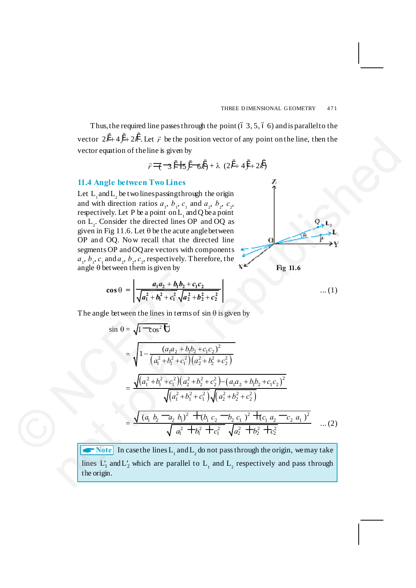Thus, the required line passes through the point  $(6, 3, 5, 6, 6)$  and is parallel to the vector  $2i^2 + 4j^2 + 2k^2$ . Let  $\vec{r}$  be the position vector of any point on the line, then the vector equation of the line is given by

$$
\vec{r} = \vec{r} + 3\hat{i} + 5\hat{j} - 6\hat{k} + \lambda (2\hat{i} + 4\hat{j} + 2\hat{k})
$$

### **11.4 Angle between Two Lines**

Let  $L_1$  and  $L_2$  be two lines passing through the origin and with direction ratios  $a_1$ ,  $b_1$ ,  $c_1$  and  $a_2$ ,  $b_2$ ,  $c_2$ , respectively. Let P be a point on  $L_1$  and Q be a point on  $L_2$ . Consider the directed lines OP and OQ as given in Fig 11.6. Let  $\theta$  be the acute angle between OP and OQ. Now recall that the directed line segments OP and OQ are vectors with components  $a_1$ ,  $b_1$ ,  $c_1$  and  $a_2$ ,  $b_2$ ,  $c_2$ , respectively. Therefore, the angle  $\theta$  between them is given by

**Fig 11.6**

$$
\cos \theta = \left| \frac{a_1 a_2 + b_1 b_2 + c_1 c_2}{\sqrt{a_1^2 + b_1^2 + c_1^2} \sqrt{a_2^2 + b_2^2 + c_2^2}} \right| \tag{1}
$$

The angle between the lines in terms of  $sin \theta$  is given by

vector 2*i* + 4*j* + 2*k*. Let *r* be the position vector of any point on the line, then the  
vector equation of theline is given by  

$$
\vec{r} = \vec{(-3)^2 + 5}y = 6k^2 + \lambda (2i^2 + 4j^2 + 2k^2)
$$
11.4 Angle between Two Lines  
Let *L*<sub>1</sub> and *L*<sub>2</sub> be two lines  
and with direction ratios *a*<sub>1</sub>, *b*<sub>1</sub>, *c*<sub>2</sub> and *a*<sub>2</sub>, *b*<sub>2</sub>, *c*<sub>2</sub>  
respectively. Let *P* be a point on *L*<sub>1</sub> and *Q* be a point  
on *L*<sub>2</sub> Consider the directed lines *Q*<sup>2</sup> and *QQ*<sub>3</sub>  
given in Fig 11.6. Let  $\theta$  be the acute angle between  
OP and OQ. Now recall that the directed line  
segments OP and OQ. Now recall that the directed line  
segments OP and OQ are vectors with components  

$$
a_1, b_1, c_1
$$
 and 
$$
a_2, b_2, c_2
$$
 respectively. Therefore, the  
angle between them is given by  

$$
\cos \theta = \frac{a_1a_2 + b_1b_2 + c_1c_2}{\sqrt{a_1^2 + b_1^2 + a_1^2 + a_2^2 + b_2^2 + c_2^2}}
$$
...(1)  
The angle between the lines in terms of sin 0 is given by  

$$
\sin \theta = \sqrt{1 - \cos^2 \theta}
$$

$$
= \sqrt{1 - \frac{(a_1a_2 + b_1b_2 + c_1c_2)^2}{(a_1^2 + b_1^2 + c_1^2)(a_2^2 + b_2^2 + c_2^2) - (a_1a_2 + b_1b_2 + c_1c_2)^2}}
$$

$$
= \frac{\sqrt{(a_1^2 + b_1^2 + c_1^2)(a_2^2 + b_2^2 + c_2^2) - (a_1a_2 + b_1b_2 + c_1c_2)^2}}{\sqrt{(a_1^2 + b_1^2 + b_1^2 + c_1^2)} \sqrt{(a_2^2 + b_2^2 + c_
$$

 $\blacktriangleright$  Note In case the lines L<sub>1</sub> and L<sub>2</sub> do not pass through the origin, we may take lines  $L'_1$  and  $L'_2$  which are parallel to  $L_1$  and  $L_2$  respectively and pass through the origin.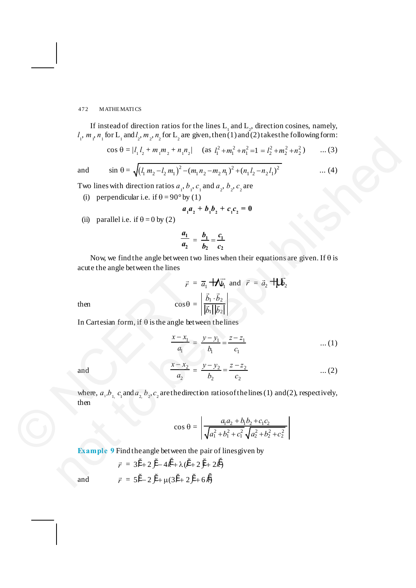If instead of direction ratios for the lines  $L_1$  and  $L_2$ , direction cosines, namely,  $l_1$ ,  $m_1$ ,  $n_1$  for  $L_1$  and  $l_2$ ,  $m_2$ ,  $n_2$  for  $L_2$  are given, then (1) and (2) takes the following form:

$$
\cos \theta = |l_1 l_2 + m_1 m_2 + n_1 n_2| \quad \text{(as } l_1^2 + m_1^2 + n_1^2 = l_1^2 + m_2^2 + n_2^2 \quad \dots (3)
$$

and  $\sin \theta = \sqrt{(l_1 m_2 - l_2 m_1)^2 - (m_1 n_2 - m_2 n_1)^2 + (n_1 l_2 - n_2 l_1)^2}$  ... (4)

Two lines with direction ratios  $a_1$ ,  $b_1$ ,  $c_1$  and  $a_2$ ,  $b_2$ ,  $c_2$  are

(i) perpendicular i.e. if  $\theta = 90^\circ$  by (1)

$$
a_1 a_2 + b_1 b_2 + c_1 c_2 = 0
$$

(ii) parallel i.e. if  $\theta = 0$  by (2)

$$
\frac{a_1}{a_2} = \frac{b_1}{b_2} = \frac{c_1}{c_2}
$$

Now, we find the angle between two lines when their equations are given. If  $\theta$  is acute the angle between the lines

$$
\vec{r} = \vec{a}_1 + \sqrt{\vec{b}_1} \text{ and } \vec{r} = \vec{a}_2 + \sqrt{\vec{b}_2}
$$
  
then  

$$
\cos \theta = \left| \frac{\vec{b}_1 \cdot \vec{b}_2}{|\vec{b}_1||\vec{b}_2|} \right|
$$

In Cartesian form, if  $\theta$  is the angle between the lines

$$
\frac{x - x_1}{a_1} = \frac{y - y_1}{b_1} = \frac{z - z_1}{c_1} \qquad \qquad \dots (1)
$$

$$
\quad\text{and}\quad
$$

and 
$$
\frac{x - x_2}{a_2} = \frac{y - y_2}{b_2} = \frac{z - z_2}{c_2}
$$
 ... (2)

where,  $a_1, b_1, c_1$  and  $a_2, b_2, c_2$  are the direction ratios of the lines (1) and (2), respectively, then F<br>
then<br>
In Cartesian form, if  $\theta$  is the angle bet<br>  $\frac{x - x_1}{a_1}$ <br>
and<br>
where,  $a_1, b_1, c_1$  and  $a_2, b_2, c_2$  are the direction<br>
then<br>  $\cos \theta =$ <br>
Example 9 Find the angle between the  $r_1, m_1, n_2, n_3, n_4, n_5, n_6, n_6, n_7, n_8, n_8, n_9, n_1, n_1, n_1, n_2, n_1, n_3, n_4, n_5, n_6, n_7, n_8, n_9, n_1, n_1, n_2, n_1, n_3, n_1, n_1, n_2, n_3, n_3, n_4, n_5, n_6, n_7, n_7, n_8, n_9, n_1, n_1, n_1, n_1, n_1, n_1, n_2, n_3, n_3, n_4, n_5, n_6, n_7, n_7,$ 

$$
\cos \theta = \left| \frac{a_1 a_2 + b_1 b_2 + c_1 c_2}{\sqrt{a_1^2 + b_1^2 + c_1^2} \sqrt{a_2^2 + b_2^2 + c_2^2}} \right|
$$

**Example 9** Find the angle between the pair of lines given by

$$
\vec{r} = 3\ddot{i} + 2\ddot{j} - 4\ddot{k} + \lambda(\ddot{i} + 2\ddot{j} + 2\dot{k})
$$

$$
\vec{r} = 5\ddot{i} - 2\ddot{j} + \mu(3\ddot{i} + 2\ddot{j} + 6\dot{k})
$$

and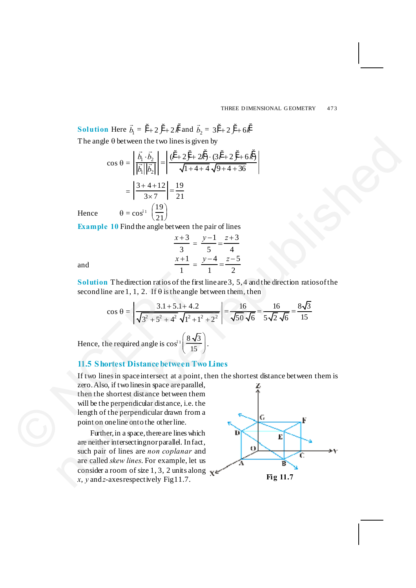**Solution** Here  $\vec{b}_1 = \hat{i} + 2\hat{j} + 2\hat{k}$  and  $\vec{b}_2 = 3\hat{i} + 2\hat{j} + 6\hat{k}$ The angle  $\theta$  between the two lines is given by

$$
\cos \theta = \left| \frac{\vec{b_1} \cdot \vec{b_2}}{|\vec{b_1}||\vec{b_2}|} \right| = \left| \frac{(\vec{t} + 2\vec{j} + 2\vec{k}) \cdot (3\vec{t} + 2\vec{j} + 6\vec{k})}{\sqrt{1 + 4 + 4}\sqrt{9 + 4 + 36}} \right|
$$

$$
= \left| \frac{3 + 4 + 12}{3 \times 7} \right| = \frac{19}{21}
$$

$$
\theta = \cos^{61} \left( \frac{19}{21} \right)
$$

**Example 10** Find the angle between the pair of lines

$$
\frac{x+3}{3} = \frac{y-1}{5} = \frac{z+3}{4}
$$

$$
\frac{x+1}{1} = \frac{y-4}{1} = \frac{z-5}{2}
$$

and

Hence

**Solution** The direction ratios of the first line are 3, 5, 4 and the direction ratios of the second line are 1, 1, 2. If  $\theta$  is the angle between them, then

$$
\cos \theta = \left| \frac{3.1 + 5.1 + 4.2}{\sqrt{3^2 + 5^2 + 4^2} \sqrt{1^2 + 1^2 + 2^2}} \right| = \frac{16}{\sqrt{50} \sqrt{6}} = \frac{16}{5\sqrt{2} \sqrt{6}} = \frac{8\sqrt{3}}{15}
$$
  
Hence, the required angle is  $\cos^{01} \left( \frac{8\sqrt{3}}{15} \right)$ .

## **11.5 Shortest Distance between Two Lines**

If two lines in space intersect at a point, then the shortest distance between them is zero. Also, if two lines in space are parallel, then the shortest distance between them will be the perpendicular distance, i.e. the length of the perpendicular drawn from a point on one line onto the other line. Solution The direction ratios of the f<br>second line are 1, 1, 2. If θ is the angl<br> $\cos \theta = \sqrt{\frac{3.1 + 5.1 + 4}{\sqrt{3^2 + 5^2 + 4^2}}}\sqrt{1^2 +$ <br>Hence, the required angle is  $\cos^{61}(\frac{8.1}{1.1})$ <br>11.5 S hortest Distance between 1<br>If two The angle 6 between the two lines is given by<br>
cos  $0 = \left| \frac{\vec{h}_1 \cdot \vec{h}_2}{|\vec{h}_1||\vec{h}_2|} \right| = \left| \frac{d^2x}{\sqrt{1+2+x^2}} \cdot \frac{d\vec{r} + 2\vec{r} - 6\vec{F}}{4\sqrt{1+4+4\sqrt{9+4+86}}} \right|$ <br>  $= \left| \frac{3+4+12}{3\times 7} \right| = \frac{19}{21}$ <br>
Hence  $\theta = \cos^{\alpha} \$ 

Further, in a space, there are lines which are neither intersecting nor parallel. In fact, such pair of lines are *non coplanar* and are called *skew lines*. For example, let us consider a room of size 1, 3, 2 units along  $x, y$  and *z*-axes respectively Fig 11.7. **Fig 11.7**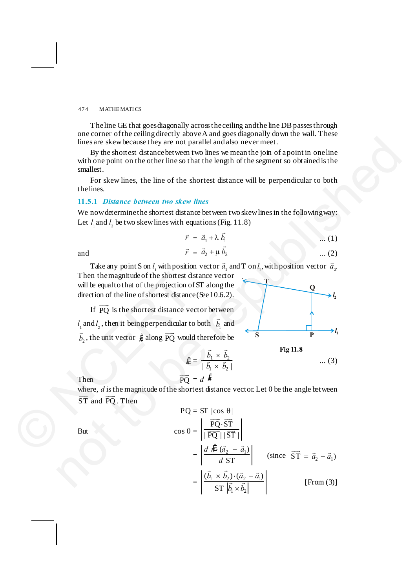The line GE that goes diagonally across the ceiling and the line DB passes through one corner of the ceiling directly above A and goes diagonally down the wall. These lines are skew because they are not parallel and also never meet.

By the shortest distance between two lines we mean the join of a point in one line with one point on the other line so that the length of the segment so obtained is the smallest.

For skew lines, the line of the shortest distance will be perpendicular to both the lines.

#### **11.5.1** *Distance between two skew lines*

We now determine the shortest distance between two skew lines in the following way: Let  $l_1$  and  $l_2$  be two skew lines with equations (Fig. 11.8)

$$
\vec{r} = \vec{a}_1 + \lambda \vec{b}_1 \qquad \qquad \dots (1)
$$
  

$$
\vec{r} = \vec{a}_2 + \mu \vec{b}_2 \qquad \qquad \dots (2)
$$

and  $\vec{r}$ 

Take any point S on 
$$
l_1
$$
 with position vector  $\vec{a}_1$  and T on  $l_2$ , with position vector  $\vec{a}_2$ 

Then the magnitude of the shortest distance vector will be equal to that of the projection of ST along the direction of the line of shortest distance (See 10.6.2).

If  $\overrightarrow{PQ}$  is the shortest distance vector between  $l_1$  and  $l_2$ , then it being perpendicular to both  $\vec{b}_1$  and  $\vec{b}_2$ , the unit vector  $\hat{n}$  along  $\overrightarrow{PQ}$  would therefore be Then the magnitude of the shortest dis<br>will be equal to that of the projection of<br>direction of the line of shortest distance<br>If  $\overline{PQ}$  is the shortest distance ve<br> $l_1$  and  $l_2$ , then it being perpendicular to<br> $\overline{b}_$ 



**Fig 11.8**

$$
\vec{b} \times \vec{b} \tag{3}
$$

Then 
$$
\overrightarrow{PQ} = d \; \hat{h}
$$

where,  $d$  is the magnitude of the shortest distance vector. Let  $\theta$  be the angle between  $\overrightarrow{ST}$  and  $\overrightarrow{PQ}$ . Then

 $n = \frac{b_1 \times b_2}{\sqrt{b_1} + \sqrt{b_2}}$  $\mid \vec{b}_{1} \times \vec{b}_{2}\mid$  $b_1 \times b_2$  $\bar{b}_1 \times \bar{b}$ ¥ ¥

 $\vec{r}$   $\vec{r}$ 

lines are skew because they are not parallel and also never meet.  
\nBy the shortest distance between two lines we mean the join of a point in one line  
\nwith one point on the other line so that the length of the segment so obtained is the  
\nsmallest.  
\nFor skew lines, the line of the shortest distance will be perpendicular to both  
\nthe lines.  
\n11.5.1 *Distance between two skew lines*  
\nWe now determine the shortest distance between two skew lines in the following way:  
\nLet 
$$
l_1
$$
 and  $l_2$  be two skew lines with equations (Fig. 11.8)  
\n $\vec{r} = \vec{a}_1 + \lambda \vec{b}_1$  ...(1)  
\nand  
\n $\vec{r} = \vec{a}_2 + \mu \vec{b}_2$  ...(2)  
\nTake any point S on *l* with position vector  $\vec{a}_1$  and T on  $l_2$  with position vector  $\vec{a}_2$ .  
\nThen the magnitude of the shortest distance vector  
\nwill be equal to that of the projection of ST along the  
\ndirection of the line of shortest distance (see 10.6.2).  
\nIf  $\overrightarrow{PQ}$  is the shortest distance vector between  
\n $l_1$  and  $l_2$ , then it being perpendicular to both  $\vec{b}_1$  and  
\n $\vec{b}_2$ , the unit vector *µ* along  $\overrightarrow{PQ}$  would therefore be  
\n
$$
M = \frac{\vec{b}_1 \times \vec{b}_2}{|\vec{b}_1 \times \vec{b}_2|}
$$
 ...(3)  
\nThen  
\n $\overrightarrow{PQ} = d \overrightarrow{H}$   
\nwhere, *d* is the magnitude of the shortest distance vector Let  $\theta$  be the angle between  
\nST and  $\overrightarrow{PQ}$ . Then  
\n $PQ = ST |cos \theta|$   
\nBut  
\n $cos \theta = \frac{|\overrightarrow{PQ} \cdot \overrightarrow{ST}|}{|\overrightarrow{PQ}||\overrightarrow{ST}|}|\$  (since  $\overrightarrow{ST} = \vec{a}_2 - \vec{a}_1$ )  
\n $= \frac{|\vec{b}_1 \times \vec{b}_2 \cdot (\vec{a}_2 - \vec{a}_1)|}{|\vec{ST}|\vec{b}_1 \times \vec{b}_2|}$  [From (3)]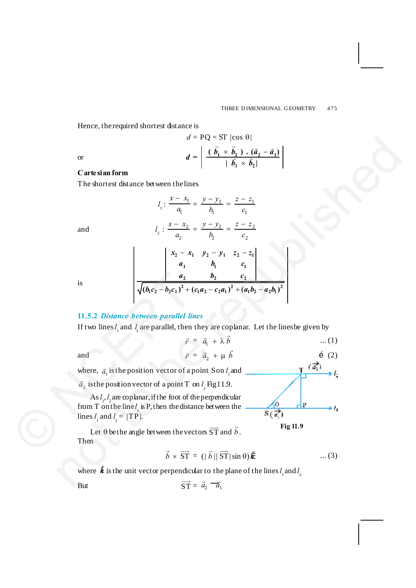Hence, the required shortest distance is

or  

$$
d = PQ = ST |\cos \theta|
$$

$$
d = \left| \frac{(\vec{b}_1 \times \vec{b}_2) \cdot (\vec{a}_2 - \vec{a}_1)}{|\vec{b}_1 \times \vec{b}_2|} \right|
$$

## **Cartesian form**

The shortest distance between the lines

or  
\n
$$
d = \left| \frac{(\vec{b}_1 \times \vec{b}_1) \cdot (\vec{a}_2 - \vec{a}_1)}{|\vec{b}_1 \times \vec{b}_2|} \right|
$$
\nCartesian form  
\nThe shortest distance between thelines  
\n
$$
l_1: \frac{x - x_1}{a_1} = \frac{y - y_1}{b_1} = \frac{z - z_1}{c_1}
$$
\nand  
\n
$$
l_2: \frac{x - x_2}{a_2} = \frac{y - y_2}{b_2} = \frac{z - z_2}{c_2}
$$
\nis  
\n
$$
\left| \frac{x_2 - x_1}{a_2} - \frac{y_2 - y_1}{b_2} - \frac{z_2 - z_1}{c_2} \right|
$$
\nis  
\n
$$
\left| \frac{x_2 - x_1}{a_1} - \frac{x_1}{b_1} - \frac{z_2 - z_1}{c_2} \right|
$$
\nis  
\n
$$
l_1 = \frac{x_2 - x_1}{b_1} + \frac{z_2 - z_1}{b_1}
$$
\n11.5.2 Distance between parallel lines  
\nIf two lines *l*, and *l*, are parallel, then they are coplanar. Let the lines be given by  
\n
$$
\vec{r} = \vec{a}_1 + \lambda \vec{b}
$$
...(1)  
\nand  
\n
$$
\vec{r} = \vec{a}_2 + \mu \vec{b}
$$
 (2)  
\nwhere,  $\vec{a}_1$  is the position vector of a point  $S$  on *l*, and  
\n
$$
\vec{a}_2
$$
 is the position vector of a point  $S$  on *l*, and  
\n
$$
S_1 l_1
$$
, are coplanar, if the foot of the perpendicular  
\nfrom  $T$  on the line *l*, is  $P$ , then the distance between the  
\nlines *l*, and *l* = | $TP$ ].  
\nLet  $\theta$  be the angle between the vectors  $\vec{ST}$  and  $\vec{b}$ .  
\nThen  
\n
$$
\vec{b} \times \vec{ST} = (|\vec{b}| |\vec{ST}| \sin \theta) \hat{n}
$$
...(3)  
\nwhere  $\vec{n}$  is the unit vector perpendicular to the plane of the lines *l*

is

and *l*

#### **11.5.2** *Distance between parallel lines*

If two lines  $l_1$  and  $l_2$  are parallel, then they are coplanar. Let the lines be given by

2  $v_2$   $v_2$  $(b_1c_2 - b_2c_1)^2 + (c_1a_2 - c_2a_1)^2 + (a_1b_2 - a_2b_1)^2$ 

 $a_2$   $b_2$   $c_3$  $b_1c_2 - b_2c_1^2 + (c_1a_2 - c_2a_1)^2 + (a_1b_2 - a_2b_1)$ 

$$
\vec{r} = \vec{a}_1 + \lambda \vec{b} \qquad \qquad \dots (1)
$$
  

$$
\vec{r} = \vec{a}_2 + \mu \vec{b} \qquad \qquad \dots (2)
$$

and *r*

where,  $\vec{a}_1$  is the position vector of a point S on  $l_1$  and

 $\vec{a}_2$  is the position vector of a point T on  $l_2$  Fig 11.9.

As *l* 1 , *l* <sup>2</sup>are coplanar, if the foot of the perpendicular from T on the line  $l_1$  is P, then the distance between the lines  $l_1$  and  $l_2 = |TP|$ . is<br>  $\sqrt{(b_1c_2 - b_2c_1)^2 + (b_1c_2 - b_2c_1)^2 + (c_1c_2 - c_2c_1)^2 + (c_2c_2 - c_2c_1)^2 + (d_1c_2 - d_2c_1)^2}$ <br>
II.5.2 Distance between parallel line<br>
If two lines  $l_1$  and  $l_2$  are parallel, then<br>  $\vec{r}$  is<br>
and<br>  $\vec{r}$  is the positi

Let  $\theta$  be the angle between the vectors  $\overrightarrow{ST}$  and  $\overrightarrow{b}$ . Then

$$
\vec{b} \times \overrightarrow{ST} = (|\vec{b}| |\overrightarrow{ST}| \sin \theta) \hat{\theta} \qquad \qquad \dots (3)
$$

**Fig 11.9**

where  $\ddot{n}$  is the unit vector perpendicular to the plane of the lines  $l_1$  and  $l_2$ 

 $\overrightarrow{ST} = \vec{a}_2 - \vec{a}_1$ 

But  $\overline{ST}$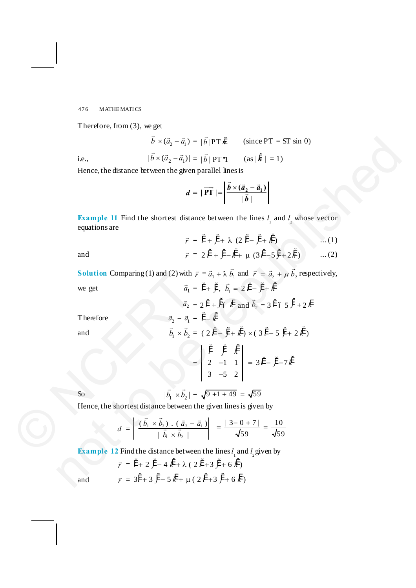Therefore, from (3), we get

$$
\vec{b} \times (\vec{a}_2 - \vec{a}_1) = |\vec{b}| PT \hat{n} \qquad \text{(since PT = ST sin \theta)}
$$
  
i.e., 
$$
|\vec{b} \times (\vec{a}_2 - \vec{a}_1)| = |\vec{b}| PT \cdot 1 \qquad \text{(as } |\hat{n}| = 1)
$$

Hence, the distance between the given parallel lines is

$$
d = |\overrightarrow{\mathbf{PT}}| = \left| \frac{\vec{b} \times (\vec{a}_2 - \vec{a}_1)}{|\vec{b}|} \right|
$$

**Example 11** Find the shortest distance between the lines  $l_1$  and  $l_2$  whose vector equations are

$$
\vec{r} = \vec{i} + \vec{j} + \lambda (2 \vec{i} - \vec{j} + \vec{k}) \qquad \dots (1)
$$
  

$$
\vec{r} = 2 \vec{i} + \vec{j} - \vec{k} + \mu (3 \vec{i} - 5 \vec{j} + 2 \vec{k}) \qquad \dots (2)
$$

and 
$$
\vec{r}
$$

**Solution** Comparing (1) and (2) with  $\vec{r} = \vec{a}_1 + \lambda \vec{b}_1$  and  $\vec{r} = \vec{a}_2 + \mu \vec{b}_2$  respectively, we get  $\vec{a}_1 = \hat{i} + \hat{j}$ ,  $\vec{b}_1 = 2 \hat{i} - \hat{j} + \hat{k}$ 

 $The$  refore

$$
\vec{b} \times (\vec{a}_2 - \vec{a}_1) = |\vec{b}_1| \text{PT } \text{ in the } \text{PT } = \text{ST }\sin 0)
$$
\ni.e.,  
\n
$$
|\vec{b} \times (\vec{a}_2 - \vec{a}_1)| = |\vec{b}_1| \text{PT } \text{T}
$$
\n
$$
(\text{as } |\vec{n}| = 1)
$$
\nHence, the distance between the given parallel lines is  
\n
$$
d = |\vec{PT}| = |\frac{\vec{b} \times (\vec{a}_2 - \vec{a}_1)}{|\vec{b}_1|}|
$$
\n**Example 11** Find the shortest distance between the lines *l*, and *l*, whose vector equations are  
\n
$$
\vec{r} = \vec{r} + \vec{y} + \lambda (2\vec{r} - \vec{y} + \vec{k}) \qquad ...(1)
$$
\nand  
\n
$$
\vec{r} = 2\vec{r} + \vec{y} - \vec{k} + \mu (3\vec{r} - 5\vec{y} + 2\vec{k}) \qquad ...(2)
$$
\nSolution Comparing (1) and (2) with  $\vec{r} = \vec{a}_1 + \lambda \vec{b}_1$  and  $\vec{r} = \vec{a}_2 + \mu \vec{b}_2$  respectively,  
\nwe get  
\n
$$
\vec{a}_1 = \vec{r} + \vec{y} \cdot \vec{b}_1 = 2\vec{r} - \vec{y} + \vec{k}
$$
\nTherefore  
\n
$$
\vec{a}_2 = 2\vec{r} + \beta \vec{b}_1 \vec{b}_1
$$
\nand  $\vec{b}_2 = 3\vec{r} \cdot 65\vec{J} + 2\vec{k}$   
\nTherefore  
\n
$$
\vec{a}_2 = \vec{a}_1 - \vec{r} - \vec{k}
$$
\nand  
\n
$$
\vec{b}_1 \times \vec{b}_2 = (2\vec{r} - \vec{y} + \vec{k}) \times (3\vec{r} - 5\vec{y} + 2\vec{k})
$$
\n
$$
= \begin{vmatrix}\n\vec{r} & \vec{r} & \vec{k} \\
2 & -1 & 1 \\
3 & -5 & 2\n\end{vmatrix} = 3\vec{r} - \vec{y} - 7\vec{k}
$$
\nSo  
\nHence, the shortest distance between the given lines is

So 
$$
|\vec{b}_1 \times \vec{b}_2| = \sqrt{9+1+49} = \sqrt{59}
$$

Hence, the shortest distance between the given lines is given by

$$
d = \left| \frac{(\vec{b}_1 \times \vec{b}_2) \cdot (\vec{a}_2 - \vec{a}_1)}{|\vec{b}_1 \times \vec{b}_2|} \right| = \frac{|3 - 0 + 7|}{\sqrt{59}} = \frac{10}{\sqrt{59}}
$$

**Example 12** Find the distance between the lines  $l_1$  and  $l_2$  given by

$$
\vec{r} = \ddot{i} + 2 \ddot{j} - 4 \dot{k} + \lambda (2 \ddot{i} + 3 \ddot{j} + 6 \dot{k})
$$

$$
\vec{r} = 3\ddot{i} + 3 \ddot{j} - 5 \dot{k} + \mu (2 \ddot{i} + 3 \ddot{j} + 6 \dot{k})
$$

and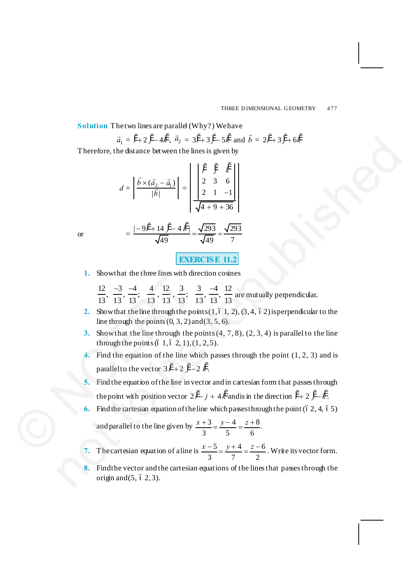**Solution** The two lines are parallel (Why?) We have

$$
\vec{a}_1 = \hat{i} + 2\hat{j} - 4\hat{k}
$$
,  $\vec{a}_2 = 3\hat{i} + 3\hat{j} - 5\hat{k}$  and  $\vec{b} = 2\hat{i} + 3\hat{j} + 6\hat{k}$ 

Therefore, the distance between the lines is given by

$$
d = \left| \frac{\vec{b} \times (\vec{a}_2 - \vec{a}_1)}{|\vec{b}|} \right| = \left| \begin{array}{ccc} \begin{vmatrix} \vec{i} & \vec{j} & \vec{k} \\ 2 & 3 & 6 \\ 2 & 1 & -1 \end{vmatrix} \\ \hline \sqrt{4 + 9 + 36} \end{array} \right|
$$

or 
$$
= \frac{|-9i^* + 14j^* - 4k^*|}{\sqrt{49}} = \frac{\sqrt{293}}{\sqrt{49}} = \frac{\sqrt{293}}{7}
$$

**EXERCISE 11.2**

1. Show that the three lines with direction cosines

 $12 \quad -3 \quad -4 \quad 4 \quad 12 \quad 3 \quad 3 \quad -4 \quad 12$  $\frac{12}{13}, \frac{1}{13}, \frac{1}{13}; \frac{1}{13}, \frac{1}{13}, \frac{1}{13}; \frac{1}{13}, \frac{1}{13}, \frac{12}{13}$  $\frac{-3}{12}, \frac{-4}{12}, \frac{4}{12}, \frac{12}{12}, \frac{3}{12}, \frac{3}{12}, \frac{-4}{12}, \frac{12}{12}$  are mutually perpendicular.

- **2.** Show that the line through the points  $(1, 6, 1, 2), (3, 4, 6, 2)$  is perpendicular to the line through the points  $(0, 3, 2)$  and  $(3, 5, 6)$ .
- **3.** Show that the line through the points (4, 7, 8), (2, 3, 4) is parallel to the line through the points  $(6\ 1, 6\ 2, 1), (1, 2, 5)$ .
- **4.** Find the equation of the line which passes through the point (1, 2, 3) and is parallel to the vector  $3i^2 + 2j^2 - 2k^2$ .
- **5.** Find the equation of the line in vector and in cartesian form that passes through the point with position vector  $2i^2 - j + 4k^2$  and is in the direction  $i^2 + 2j - k^2$ .
- Find the cartesian equation of the line which passes through the point  $(62, 4, 65)$ and parallel to the line given by  $\frac{x+3}{2} = \frac{y-4}{5} = \frac{z+8}{1}$ 3 5 6  $\frac{x+3}{2} = \frac{y-4}{3} = \frac{z+8}{3}$ . 1. Showthat the three lines with divergent the three lines with divergent  $\frac{12}{13}, \frac{-3}{13}, \frac{-4}{13}, \frac{4}{13}, \frac{12}{13}, \frac{3}{13}$ ;<br>2. Show that the line through the police line through the police through the police fine poin  $\vec{a}_1 = 7 + 2\vec{f} - 4\vec{k}$ ,  $\vec{a}_2 = 3\vec{f} + 3\vec{f}$  and  $\vec{b} = 2\vec{f} + 3\vec{f} + 6\vec{k}$ <br>
Therefore, the distance between the lines is given by  $\vec{a} = \begin{vmatrix} \vec{f} & \vec{f} & \vec{g} \\ \frac{\vec{b} \times (\vec{a}_1 - \vec{a}_1)}{|\vec{b}_1|} & \vec{e} \end{vmatrix} = \begin$ 
	- **7.** The cartesian equation of a line is  $\frac{x-5}{-} = \frac{y+4}{-} = \frac{z-6}{-}$ 3 7 2  $\frac{x-5}{2} = \frac{y+4}{2} = \frac{z-6}{2}$ . Write its vector form.
	- **8.** Find the vector and the cartesian equations of the lines that passes through the origin and  $(5, 6, 2, 3)$ .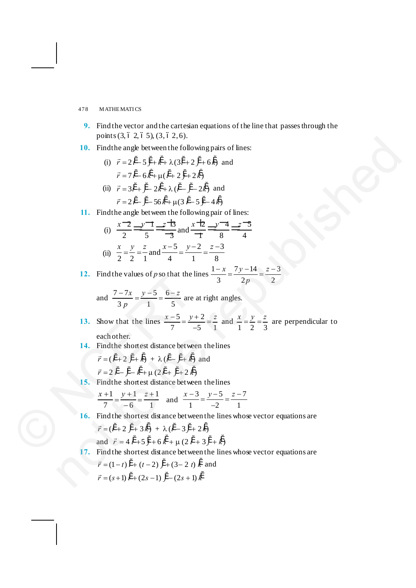- **9.** Find the vector and the cartesian equations of the line that passes through the points  $(3, 6, 2, 6, 5), (3, 6, 2, 6)$ .
- **10.** Find the angle between the following pairs of lines:
	- (i)  $\vec{r} = 2\hat{i} 5\hat{j} + \hat{k} + \lambda(3\hat{i} + 2\hat{j} + 6\hat{k})$  and  $\vec{r} = 7\,\hat{i} - 6\,\hat{k} + \mu(\,\hat{i} + 2\,\hat{j} + 2\,\hat{k})$
	- (ii)  $\vec{r} = 3\hat{i} + \hat{i} 2\hat{k} + \lambda(\hat{i} \hat{i} 2\hat{k})$  and  $\vec{r} = 2\hat{i} - \hat{j} - 56\hat{k} + \mu(3\hat{i} - 5\hat{j} - 4\hat{k})$

**11.** Find the angle between the following pair of lines:

(ii) 
$$
\frac{x-2}{2} \stackrel{\text{def}}{=} \frac{y-1}{5} \stackrel{\text{def}}{=} \frac{z-13}{3}
$$
 and  $\frac{x+2}{1} \stackrel{\text{def}}{=} \frac{y-4}{8} \stackrel{\text{def}}{=} \frac{z-5}{4}$   
\n(ii)  $\frac{x}{2} = \frac{y}{2} = \frac{z}{1}$  and  $\frac{x-5}{4} = \frac{y-2}{1} = \frac{z-3}{8}$ 

**12.** Find the values of *p* so that the lines  $\frac{1-x}{2} = \frac{7y-14}{2} = \frac{z-3}{3}$ 3  $2p$  2 *x*  $7y-14$  *z p*  $\frac{-x}{-} = \frac{7y-14}{-} = \frac{z-1}{-}$ 

and 
$$
\frac{7-7x}{3p} = \frac{y-5}{1} = \frac{6-z}{5}
$$
 are at right angles.

- **13.** Show that the lines  $\frac{x-5}{5} = \frac{y+2}{5}$  $\frac{x-5}{7} = \frac{y+2}{-5} = \frac{z}{1}$  and  $\frac{x}{1} = \frac{y}{2} = \frac{z}{3}$  $\frac{x}{x} = \frac{y}{x} = \frac{z}{x}$  are perpendicular to each other. 12. Find the values of p so that the l<br>
and  $\frac{7-7x}{3p} = \frac{y-5}{1} = \frac{6-z}{5}$  are<br>
13. Show that the lines  $\frac{x-5}{7} = \frac{y}{2}$ <br>
each other.<br>
14. Find the shortest distance betwe<br>  $\vec{r} = (\hat{i} + 2\hat{j} + \hat{k}) + \lambda(\hat{i} - \hat{j} + \hat{k})$ <br> not to be republished
	- 14. Find the shortest distance between the lines

$$
\vec{r} = (\hat{i}^{\prime} + 2 \hat{j}^{\prime} + \hat{k}) + \lambda (\hat{i}^{\prime} - \hat{j}^{\prime} + \hat{k}) \text{ and}
$$

$$
\vec{r} = 2 \hat{i}^{\prime} - \hat{j}^{\prime} - \hat{k}^{\prime} + \mu (2 \hat{i}^{\prime} + \hat{j}^{\prime} + 2 \hat{k})
$$

15. Find the shortest distance between the lines

$$
\frac{x+1}{7} = \frac{y+1}{-6} = \frac{z+1}{1}
$$
 and 
$$
\frac{x-3}{1} = \frac{y-5}{-2} = \frac{z-7}{1}
$$

16. Find the shortest distance between the lines whose vector equations are

$$
\vec{r} = (\mathbf{i}^4 + 2 \mathbf{j}^4 + 3 \mathbf{k}^4) + \lambda (\mathbf{i}^4 - 3 \mathbf{j}^4 + 2 \mathbf{k}^4)
$$

and 
$$
\vec{r} = 4\hat{i}^{\prime} + 5\hat{j} + 6\hat{k}^{\prime} + \mu(2\hat{i}^{\prime} + 3\hat{j}^{\prime} + \hat{k})
$$

**17.** Find the shortest distance between the lines whose vector equations are

$$
\vec{r} = (1 - t)\,\hat{i} + (t - 2)\,\hat{j} + (3 - 2\,t)\,\hat{k}
$$
 and  

$$
\vec{r} = (s + 1)\,\hat{i} + (2s - 1)\,\hat{j} - (2s + 1)\,\hat{k}
$$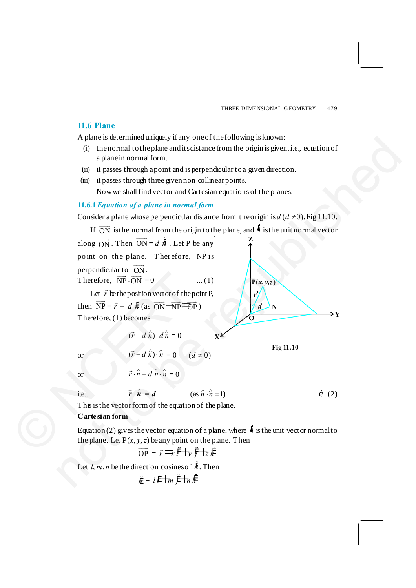## **11.6 Plane**

A plane is determined uniquely if any one of the following is known:

- (i) the normal to the plane and its distance from the origin is given, i.e., equation of a plane in normal form.
- (ii) it passes through a point and is perpendicular to a given direction.
- (iii) it passes through three given non collinear points. Now we shall find vector and Cartesian equations of the planes.

## **11.6.1***Equation of a plane in normal form*

Consider a plane whose perpendicular distance from the origin is  $d(d \neq 0)$ . Fig 11.10.

If  $\overrightarrow{ON}$  is the normal from the origin to the plane, and  $\ddot{n}$  is the unit normal vector



**Cartesian form**

Equation (2) gives the vector equation of a plane, where  $\ddot{n}$  is the unit vector normal to the plane. Let  $P(x, y, z)$  be any point on the plane. Then

$$
\overrightarrow{OP} = \overrightarrow{r} = \overrightarrow{i} \cdot \overrightarrow{f} + \overrightarrow{y} \cdot \overrightarrow{f} + \overrightarrow{z} \cdot \overrightarrow{k}
$$

Let  $l, m, n$  be the direction cosines of  $\ddot{n}$ . Then

$$
n = l i' \pm m j' \pm n k'
$$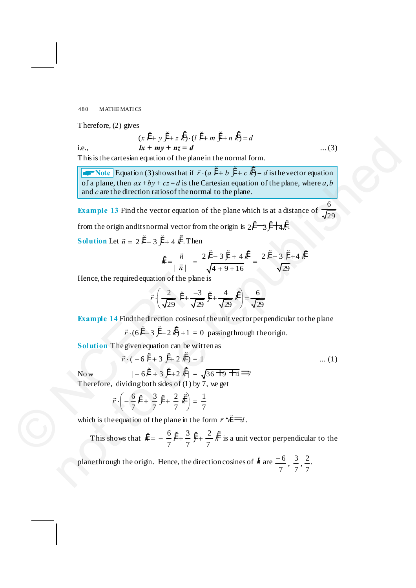Therefore, (2) gives

i.e., 
$$
(x i^4 + y j^4 + z k^4) \cdot (l i^4 + m j^4 + n k^4) = d
$$
  
\nii.e.,  $lx + my + nz = d$  ... (3)

This is the cartesian equation of the plane in the normal form.

**ANOTE** Equation (3) shows that if  $\vec{r} \cdot (a \hat{i} + b \hat{j} + c \hat{k}) = d$  is the vector equation of a plane, then  $ax + by + cz = d$  is the Cartesian equation of the plane, where a, *b* and *c* are the direction ratios of the normal to the plane. i.e.,  $(x + m y) + nz = d$  ... (3)<br>
This is the cartesian equation of the plane in the normal form.<br>
The sixtended  $(3)$  throws that if  $\vec{r} \in \vec{a} + b \vec{r}$  is electric state of the plane in the normal form.<br>
of a plane, then  $ax$ 

**Example 13** Find the vector equation of the plane which is at a distance of  $\frac{9}{\sqrt{29}}$ 6 from the origin and its normal vector from the origin is  $2i^{\prime}$   $\rightarrow$   $i^{\prime}$   $\uparrow$   $\downarrow$   $\downarrow$ .

**Solution** Let  $\vec{n} = 2i^4 - 3j^4 + 4k^4$ . Then

$$
\ddot{n} = \frac{\vec{n}}{|\vec{n}|} = \frac{2\,\ddot{i} - 3\,\ddot{j} + 4\,\dot{k}'}{\sqrt{4 + 9 + 16}} = \frac{2\,\ddot{i} - 3\,\ddot{j} + 4\,\dot{k}'}{\sqrt{29}}
$$

Hence, the required equation of the plane is

$$
\vec{r} \cdot \left(\frac{2}{\sqrt{29}} \cdot \hat{i}' + \frac{-3}{\sqrt{29}} \cdot \hat{j}' + \frac{4}{\sqrt{29}} \cdot \hat{k}'\right) = \frac{6}{\sqrt{29}}
$$

**Example 14** Find the direction cosines of the unit vector perpendicular to the plane

 $\vec{r} \cdot (6 \hat{i} - 3 \hat{j} - 2 \hat{k}) + 1 = 0$  passing through the origin.

**Solution** The given equation can be written as

Now 
$$
\vec{r} \cdot (-6\ \hat{i} + 3\ \hat{j} + 2\ \hat{k}) = 1
$$
 ... (1)  
\n
$$
|-6\ \hat{i} + 3\ \hat{j} + 2\ \hat{k}| = \sqrt{36 \pm 9 \pm 4} \implies
$$

Therefore, dividing both sides of (1) by 7, we get

$$
\vec{r} \cdot \left( -\frac{6}{7} \hat{i}' + \frac{3}{7} \hat{j}' + \frac{2}{7} \hat{k}' \right) = \frac{1}{7}
$$

which is the equation of the plane in the form  $\vec{r} \cdot \hat{n} = d$ .

Hence, the required equation of the plane is  
\n
$$
\vec{r} \cdot \left(\frac{2}{\sqrt{29}} \vec{r} + \frac{-3}{\sqrt{29}} \vec{y} + \frac{4}{\sqrt{29}} \vec{k}\right) = \frac{6}{\sqrt{29}}
$$
\nExample 14 Find the direction cosines of the unit vector perpendicular to the plane  
\n
$$
\vec{r} \cdot (6i^4 - 3 j^4 - 2 k^2) + 1 = 0 \text{ passing through the origin.}
$$
\nSolution The given equation can be written as  
\n
$$
\vec{r} \cdot (-6i^4 + 3 j^4 + 2 k^4) = \sqrt{36 + 9 + 4}
$$
...(1)  
\nNow 
$$
|-6i^4 + 3j^4 + 2k^4| = \sqrt{36 + 9 + 4}
$$
\nTherefore, dividing both sides of (1) by 7, we get  
\n
$$
\vec{r} \cdot \left(-\frac{6}{7}i^4 + \frac{3}{7}j^4 + \frac{2}{7}k^4\right) = \frac{1}{7}
$$
\nwhich is the equation of the plane in the form  $\vec{r} \cdot \vec{r} = d$ .  
\nThis shows that  $\ddot{n} = -\frac{6}{7}i^4 + \frac{3}{7}j^4 + \frac{2}{7}k^4$  is a unit vector perpendicular to the

plane through the origin. Hence, the direction cosines of  $\ddot{n}$  are  $\frac{-6}{7}, \frac{3}{7}, \frac{2}{7}$ .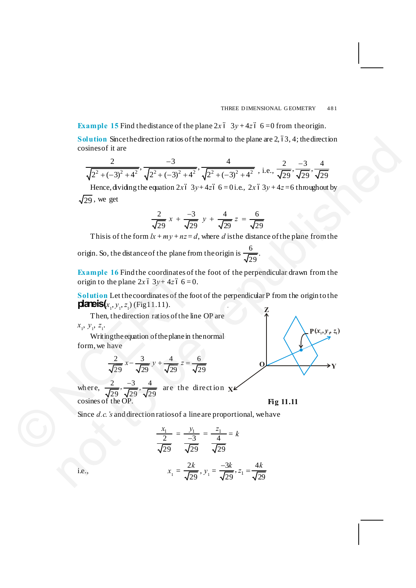**Example 15** Find the distance of the plane  $2x$  6  $3y + 4z$  6  $-0$  from the origin.

**Solution** Since the direction ratios of the normal to the plane are  $2, 63, 4$ ; the direction cosines of it are

$$
\frac{2}{\sqrt{2^2 + (-3)^2 + 4^2}}, \frac{-3}{\sqrt{2^2 + (-3)^2 + 4^2}}, \frac{4}{\sqrt{2^2 + (-3)^2 + 4^2}}, \text{ i.e., } \frac{2}{\sqrt{29}}, \frac{-3}{\sqrt{29}}, \frac{4}{\sqrt{29}}
$$

Hence, dividing the equation  $2x6-3y+4z6-6=0$  i.e.,  $2x6-3y+4z=6$  throughout by  $\sqrt{29}$ , we get

$$
\frac{2}{\sqrt{29}} x + \frac{-3}{\sqrt{29}} y + \frac{4}{\sqrt{29}} z = \frac{6}{\sqrt{29}}
$$

This is of the form  $lx + my + nz = d$ , where *d* is the distance of the plane from the

origin. So, the distance of the plane from the origin is  $\frac{6}{\sqrt{29}}$ .

**Example 16** Find the coordinates of the foot of the perpendicular drawn from the origin to the plane  $2x \cdot 3y + 4z \cdot 6 = 0$ .

**Solution** Let the coordinates of the foot of the perpendicular P from the origin to the **planeis** $(x_1, y_1, z_1)$  (Fig 11.11).

Then, the direction ratios of the line OP are  $x_1, y_1, z_1$ .

Writing the equation of the plane in the normal form, we have

$$
\frac{2}{\sqrt{29}}x - \frac{3}{\sqrt{29}}y + \frac{4}{\sqrt{29}}z = \frac{6}{\sqrt{29}}
$$

 $\frac{-3}{\sqrt{20}}$ ,  $\frac{4}{\sqrt{20}}$  are the direction **x** wh ere, cosines of the OP. **Example 16** Find the coordinates of<br>origin to the plane  $2x$  6 3y+ 4z 6 6 = (<br>**Solution** Let the coordinates of the fc<br>**c**<br>**coordinates** of the fit<br>**coordinates** of the fit<br>**coordinates** of the fit<br> $x_1, y_1, z_1$ . (Fig11.

**Fig 11.11**

Since *d.c.'s* and direction ratios of a line are proportional, we have

$$
\frac{x_1}{2} = \frac{y_1}{-3} = \frac{z_1}{4} = k
$$
  
i.e., 
$$
x_1 = \frac{2k}{\sqrt{29}}, y_1 = \frac{-3k}{\sqrt{29}}, z_1 = \frac{4k}{\sqrt{29}}
$$

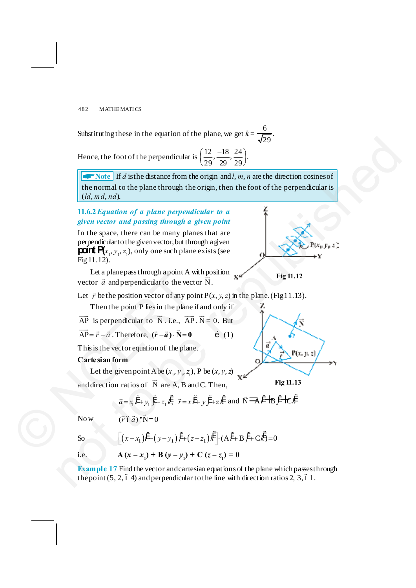Substituting these in the equation of the plane, we get  $k = \frac{8}{\sqrt{29}}$  $\frac{6}{1}$ .

Hence, the foot of the perpendicular is  $\left(\frac{12}{29}, \frac{-18}{29}, \frac{24}{29}\right)$ .

**ARROREGIST** If *d* is the distance from the origin and *l*, *m*, *n* are the direction cosines of the normal to the plane through the origin, then the foot of the perpendicular is (*ld*, *md*, *nd*). Hence, the footboth the perpendicular is  $\left(\frac{12}{29}, \frac{-18}{29}, \frac{24}{29}\right)$ .<br>
Hence, that for the perpendicular is  $\left(\frac{12}{29}, \frac{-18}{29}, \frac{24}{29}\right)$ .<br>  $\left[\frac{1}{29}, \frac{1}{29}, \frac{12}{29}\right]$ .<br>  $\left[\frac{1}{29}, \frac{1}{29}, \frac{12}{29}\right]$ .<br>  $\left$ 

## **11.6.2***Equation of a plane perpendicular to a given vector and passing through a given point*

In the space, there can be many planes that are perpendicular to the given vector, but through a given **point**  $P(x_1, y_1, z_1)$ , only one such plane exists (see Fig 11.12).

Let a plane pass through a point A with position vector  $\vec{a}$  and perpendicular to the vector  $\vec{N}$ . Let a plane pass through a point A v<br>vector  $\vec{a}$  and perpendicular to the vector<br>Let  $\vec{r}$  be the position vector of any po<br>Then the point P lies in the plane<br> $\overrightarrow{AP}$  is perpendicular to  $\overrightarrow{N}$ . i.e.,  $\overrightarrow{AP}$ <br> $\over$ 

**Fig 11.12**

**Fig 11.13**

Let  $\vec{r}$  be the position vector of any point  $P(x, y, z)$  in the plane. (Fig 11.13).

Then the point P lies in the plane if and only if

 $\overrightarrow{AP}$  is perpendicular to  $\overrightarrow{N}$ . i.e.,  $\overrightarrow{AP} \cdot \overrightarrow{N} = 0$ . But

 $\overrightarrow{AP} = \overrightarrow{r} - \overrightarrow{a}$ . Therefore,  $(\overrightarrow{r} - \overrightarrow{a}) \cdot \overrightarrow{N} = 0$  *i* (1)

This is the vector equation of the plane.

## **Cartesian form**

Let the given point A be  $(x_1, y_1, z_1)$ , P be  $(x, y, z)$ 

and direction ratios of  $\overrightarrow{N}$  are A, B and C. Then,

$$
\vec{a} = x_1 \vec{i} + y_1 \vec{j} + z_1 \vec{k}, \ \vec{r} = x \vec{i} + y \vec{j} + z \vec{k} \text{ and } \vec{N} = A \vec{i} + B \vec{j} + C \vec{k}
$$

$$
\text{Now} \qquad (\vec{r} \, \acute{\sigma} \, \vec{a}) \, \mathbf{v} \cdot \vec{N} = 0
$$

So 
$$
\left[ (x - x_1)\ddot{i} + (y - y_1)\ddot{j} + (z - z_1)\dot{k} \right] \cdot (\mathbf{A}\ddot{i} + \mathbf{B}\ddot{j} + \mathbf{C}\dot{k}) = 0
$$
  
i.e. 
$$
\mathbf{A} (x - x_1) + \mathbf{B} (y - y_1) + \mathbf{C} (z - z_1) = 0
$$

**Example 17** Find the vector and cartesian equations of the plane which passes through the point  $(5, 2, 6, 4)$  and perpendicular to the line with direction ratios 2, 3, 61.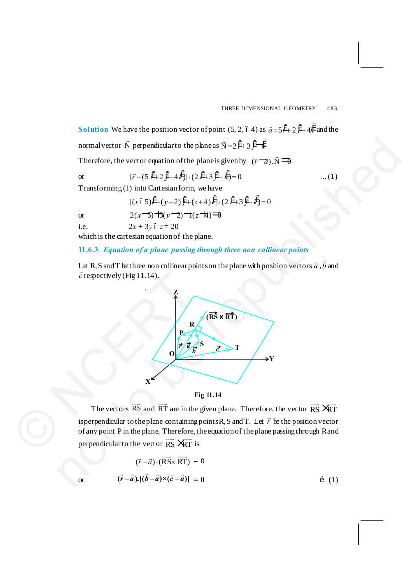**Solution** We have the position vector of point  $(5, 2, 64)$  as  $\vec{a} = 5\hat{i} + 2\hat{j} - 4\hat{k}$  and the normal vector  $\vec{N}$  perpendicular to the plane as  $\vec{N} = 2\hat{i} + 3\hat{j} - \hat{k}$ Therefore, the vector equation of the plane is given by  $(\vec{r} - \vec{a}) \cdot \vec{N} = 0$ or  $[\vec{r}-(5i'+2j'-4k')] \cdot (2i'+3j'-k') = 0$  ... (1)

Transforming (1) into Cartesian form, we have

 $[(x\ 65)^{i}+(y-2)^{i}+(z+4)\ddot{k}]\cdot(2\ \dot{i}+3\ \dot{j}-\dot{k})=0$ or  $2(x-5) + 3(y-2) - 1(z+4) = 0$ i.e.  $2x + 3y \le z = 20$ 

which is the cartesian equation of the plane.

## **11.6.3** *Equation of a plane passing through three non collinear points*

Let R, S and T be three non collinear points on the plane with position vectors  $\vec{a}$  ,  $\vec{b}$  and  $\vec{c}$  respectively (Fig 11.14).





The vectors  $\overrightarrow{RS}$  and  $\overrightarrow{RT}$  are in the given plane. Therefore, the vector  $\overrightarrow{RS}$   $\overrightarrow{RT}$ is perpendicular to the plane containing points R, S and T. Let  $\vec{r}$  be the position vector of any point P in the plane. Therefore, the equation of the plane passing through R and perpendicular to the vector  $\overrightarrow{RS}$   $\overrightarrow{RT}$  is

$$
(\vec{r} - \vec{a}) \cdot (\overrightarrow{RS} \times \overrightarrow{RT}) = 0
$$
  
or 
$$
(\vec{r} - \vec{a}) \cdot [(\vec{b} - \vec{a}) \times (\vec{c} - \vec{a})] = 0
$$
 (1)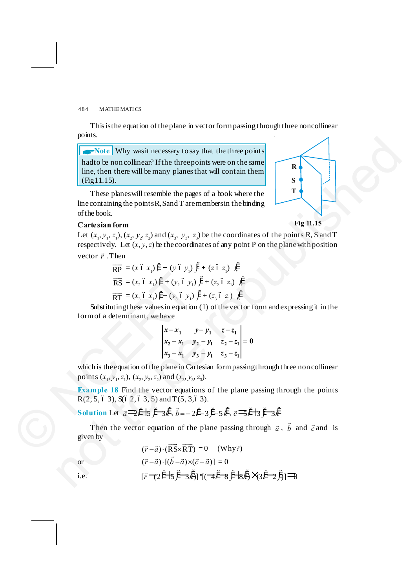This is the equation of the plane in vector form passing through three noncollinear points.

**And Why was it necessary to say that the three points** had to be non collinear? If the three points were on the same line, then there will be many planes that will contain them (Fig 11.15).

These planes will resemble the pages of a book where the line containing the points R, S and T are members in the binding of the book.

## **Cartesian form**

Let  $(x_1, y_1, z_1)$ ,  $(x_2, y_2, z_2)$  and  $(x_3, y_3, z_3)$  be the coordinates of the points R, S and T respectively. Let  $(x, y, z)$  be the coordinates of any point P on the plane with position vector  $\vec{r}$ . Then **EXECUTE:**<br> **EXECUTE:** Why was it necessary to say that the three points<br>
Inducts the noncollinear? If the three points were on the same<br>
ince, then we sell be runary planes that will contain them<br>
The planes will be remu

$$
\overrightarrow{RP} = (x \ 6 \ x_1)^{\alpha} + (y \ 6 \ y_1)^{\beta} + (z \ 6 \ z_1)^{\beta}
$$
\n
$$
\overrightarrow{RS} = (x_2 \ 6 \ x_1)^{\alpha} + (y_2 \ 6 \ y_1)^{\alpha} + (z_2 \ 6 \ z_1)^{\beta}
$$

 $\overrightarrow{RT} = (x_3 \ 6 \ x_1)^{\alpha} + (y_3 \ 6 \ y_1)^{\alpha} + (z_3 \ 6 \ z_1)^{\alpha}$ 

Substituting these values in equation (1) of the vector form and expressing it in the form of a determinant, we have

$$
\begin{vmatrix} x - x_1 & y - y_1 & z - z_1 \ x_2 - x_1 & y_2 - y_1 & z_2 - z_1 \ x_3 - x_1 & y_3 - y_1 & z_3 - z_1 \end{vmatrix} = 0
$$

which is the equation of the plane in Cartesian form passing through three non collinear points  $(x_1, y_1, z_1)$ ,  $(x_2, y_2, z_2)$  and  $(x_3, y_3, z_3)$ .  $R = (x_2 \delta x_1) f + (y_2 \delta y_1)$ <br>  $R = (x_3 \delta x_1) f + (y_3 \delta y_1)$ <br>
Substituting these values in equation<br>
form of a determinant, we have<br>  $\begin{vmatrix} x - x_1 \\ x_2 - x_1 \end{vmatrix}$ <br>
which is the equation of the plane in Ca<br>
points  $(x_1, y_1, z_1)$ ,

**Example 18** Find the vector equations of the plane passing through the points  $R(2, 5, 6, 3), S(6, 2, 6, 3, 5)$  and  $T(5, 3, 6, 3)$ .

**Solution** Let  $\vec{a} = \vec{i} + \vec{j} + \vec{k}$ ,  $\vec{b} = -2\vec{i} - 3\vec{j} + 5\vec{k}$ ,  $\vec{c} = \vec{j} + \vec{k}$ 

Then the vector equation of the plane passing through  $\vec{a}$ ,  $\vec{b}$  and  $\vec{c}$  and is given by

$$
(\vec{r} - \vec{a}) \cdot (\overrightarrow{RS} \times \overrightarrow{RT}) = 0 \quad \text{(Why?)}
$$
\nor

\n
$$
(\vec{r} - \vec{a}) \cdot [(\vec{b} - \vec{a}) \times (\vec{c} - \vec{a})] = 0
$$
\ni.e.

\n
$$
[\vec{r} \cdot (2\hat{i} + 5\hat{j} - 3\hat{k})] \cdot [(\vec{a} + \hat{i} + 8\hat{j} + 8\hat{k}) \times (3\hat{i} - 2\hat{j})] \rightarrow 0
$$

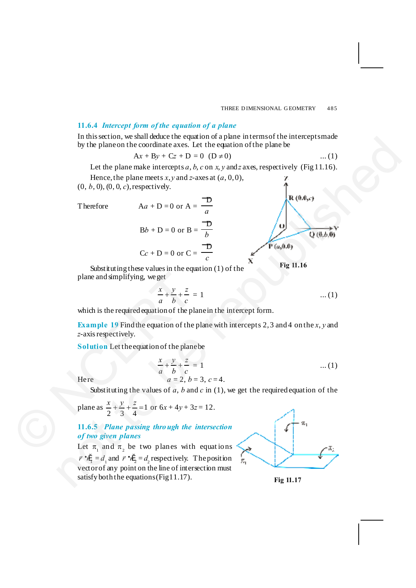## **11.6.4** *Intercept form of the equation of a plane*

In this section, we shall deduce the equation of a plane in terms of the intercepts made by the plane on the coordinate axes. Let the equation of the plane be

$$
Ax + By + Cz + D = 0 \t(D \neq 0) \t...(1)
$$

Let the plane make intercepts  $a$ ,  $b$ ,  $c$  on  $x$ ,  $y$  and  $z$  axes, respectively (Fig 11.16).

Hence, the plane meets  $x, y$  and  $z$ -axes at  $(a, 0, 0)$ , (0, *b*, 0), (0, 0, *c*), respectively.  $\overline{\mathcal{D}}$ 

Therefore

$$
Aa + D = 0 \text{ or } A = \frac{\overline{a}}{a}
$$
  

$$
Bb + D = 0 \text{ or } B = \frac{\overline{b}}{b}
$$
  

$$
Cc + D = 0 \text{ or } C = \frac{\overline{b}}{c}
$$

**Fig 11.16**

Substituting these values in the equation  $(1)$  of the plane and simplifying, we get

$$
\frac{x}{a} + \frac{y}{b} + \frac{z}{c} = 1 \tag{1}
$$

which is the required equation of the plane in the intercept form.

**Example 19** Find the equation of the plane with intercepts 2, 3 and 4 on the *x*, *y* and *z*-axis respectively.

**Solution** Let the equation of the plane be

Here 
$$
\frac{x}{a} + \frac{y}{b} + \frac{z}{c} = 1
$$
...(1)  
Here  $a = 2, b = 3, c = 4.$ 

Substituting the values of *a*, *b* and *c* in (1), we get the required equation of the

plane and simplifying, we get  
\n
$$
\frac{x}{a} + \frac{y}{b} + \frac{z}{c} = 1
$$
\nwhich is the required equation of the plane in  
\nExample 19 Find the equation of the plane  
\nz-axis respectively.  
\nSolution Let the equation of the plane be  
\n
$$
\frac{x}{a} + \frac{y}{b} + \frac{z}{c} = 1
$$
\nHere  
\n
$$
a = 2, b = 3, c =
$$
\nSubstituting the values of a, b and c in  
\nplane as 
$$
\frac{x}{2} + \frac{y}{3} + \frac{z}{4} = 1
$$
 or  $6x + 4y + 3z = 12$ .  
\n11.6.5 Plane passing through the *intersect*  
\nof two given planes  
\nLet  $\pi_1$  and  $\pi_2$  be two planes with equal

**11.6.5** *Plane passing thro ugh the intersection of two given planes*

Let  $\pi$ <sub>1</sub> and  $\pi$ <sub>2</sub> be two planes with equations  $\vec{r} \cdot \hat{n}_1^2 = d_1$  and  $\vec{r} \cdot \hat{n}_2^2 = d_2$  respectively. The position vector of any point on the line of intersection must satisfy both the equations (Fig  $11.17$ ). In mix sector, we sature due to equation to a paint entermino time time.<br>
Not be phase in the condition axes. Let the equation of the phase<br>
Let the plane make intercepts a, b, c on x y and zaves, respectively (Fig 11.16)



**Fig 11.17**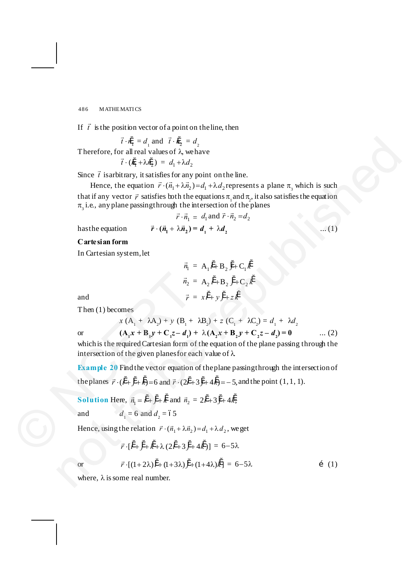If  $\vec{t}$  is the position vector of a point on the line, then

$$
\vec{t} \cdot \hat{n}_1 = d_1
$$
 and  $\vec{t} \cdot \hat{n}_2 = d_2$ 

Therefore, for all real values of  $\lambda$ , we have

$$
\vec{t} \cdot (\dot{n}_1 + \lambda \dot{n}_2) = d_1 + \lambda d_2
$$

Since  $\vec{t}$  is arbitrary, it satisfies for any point on the line.

Hence, the equation  $\vec{r} \cdot (\vec{n}_1 + \lambda \vec{n}_2) = d_1 + \lambda d_2$  represents a plane  $\pi$ , which is such that if any vector  $\vec{r}$  satisfies both the equations  $\pi_1$  and  $\pi_2$ , it also satisfies the equation  $\pi_{3}$  i.e., any plane passing through the intersection of the planes Therefore, for all  $\vec{n}_1 = d_1$  and  $\vec{n}_2 = d_2$  and  $\vec{n}_3 = d_1 + \lambda d_3$ .<br>
Since  $\vec{r}$  is  $(R_1 + \lambda R_2) = d_1 + \lambda d_2$  is equation  $\vec{r} \cdot (\vec{n}_1 + \lambda d_3) = d_1 + \lambda d_3$  expressents a plane  $\vec{n}_1$  which is such that if any vector  $\vec{r$ 

$$
\vec{r} \cdot \vec{n}_1 = d_1 \text{ and } \vec{r} \cdot \vec{n}_2 = d_2
$$

 $h$  as the equation

$$
\vec{r} \cdot (\vec{n}_1 + \lambda \vec{n}_2) = d_1 + \lambda d_2 \tag{1}
$$

**Cartesian form**

In Cartesian system, let

$$
\vec{n}_1 = A_1 \vec{i} + B_2 \vec{j} + C_1 \vec{k}
$$
\n
$$
\vec{n}_2 = A_2 \vec{i} + B_2 \vec{j} + C_2 \vec{k}
$$
\n
$$
\vec{r} = x \vec{i} + y \vec{j} + z \vec{k}
$$

and  $\vec{r}$ 

Then (1) becomes

or 
$$
x (A_1 + \lambda A_2) + y (B_1 + \lambda B_2) + z (C_1 + \lambda C_2) = d_1 + \lambda d_2
$$
  
(**A**<sub>1</sub>**x** + **B**<sub>1</sub>**y** + **C**<sub>1</sub>**z** - **d**<sub>1</sub>**)** + \lambda (**A**<sub>2</sub>**x** + **B**<sub>2</sub>**y** + **C**<sub>2</sub>**z** - **d**<sub>2</sub>**)** = **0** ... (2)

which is the required Cartesian form of the equation of the plane passing through the intersection of the given planes for each value of  $\lambda$ .

**Example 20** Find the vector equation of the plane passing through the intersection of the planes  $\vec{r} \cdot (\hat{i} + \hat{j} + \hat{k}) = 6$  and  $\vec{r} \cdot (2\hat{i} + 3\hat{j} + 4\hat{k}) = -5$ , and the point (1, 1, 1).  $\vec{n}_2$ :<br>
and  $\vec{r}$ :<br>
Then (1) becomes<br>  $x (A_1 + \lambda A_2) + y (B_1 +$ <br>
or  $(A_1x + B_1y + C_1z - d_1)$ <br>
which is the required Cartesian form of<br>
intersection of the given planes for ea<br> **Example 20** Find the vector equation<br>
the plane

**Solution** Here,  $\vec{n}_1 = \hat{i}^* + \hat{j}^* + \hat{k}$  and  $\vec{n}_2 = 2\hat{i}^* + 3\hat{j} + 4\hat{k}$ ;

and  $d_1 = 6$  and  $d_2 = 65$ 

Hence, using the relation  $\vec{r} \cdot (\vec{n}_1 + \lambda \vec{n}_2) = d_1 + \lambda d_2$ , we get

$$
\vec{r} \cdot [\H{i} + \H{j} + \H{k} + \lambda (2\H{i} + 3\H{j} + 4\H{k})] = 6 - 5\lambda
$$

or 
$$
\vec{r} \cdot [(1+2\lambda)\hat{i} + (1+3\lambda)\hat{j} + (1+4\lambda)\hat{k}] = 6-5\lambda
$$
 (1)

where,  $\lambda$  is some real number.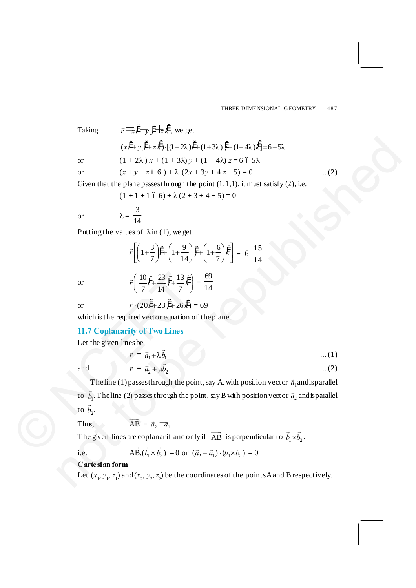Taking 
$$
\vec{r} = \vec{x} \cdot \vec{r} + \vec{y} \cdot \vec{r} + \vec{z} \cdot \vec{k}
$$
, we get  
\n $(x\vec{i} + y\vec{j} + z\vec{k}) \cdot [(1 + 2\lambda)\vec{i} + (1 + 3\lambda)\vec{j} + (1 + 4\lambda)\vec{k}] = 6 - 5\lambda$   
\nor  $(1 + 2\lambda) x + (1 + 3\lambda) y + (1 + 4\lambda) z = 6 6 5\lambda$   
\nor  $(x + y + z 6 6) + \lambda (2x + 3y + 4 z + 5) = 0$  ...(2)  
\nGiven that the plane passes through the point (1,1,1), it must satisfy (2), i.e.  
\n $(1 + 1 + 1 6 6) + \lambda (2 + 3 + 4 + 5) = 0$   
\nor  $\lambda = \frac{3}{14}$   
\nPutting the values of  $\lambda$  in (1), we get  
\n $\vec{r} \left[ \left( 1 + \frac{3}{7} \right) \vec{i} + \left( 1 + \frac{9}{14} \right) \vec{j} + \left( 1 + \frac{6}{7} \right) \vec{k} \right] = 6 - \frac{15}{14}$   
\nor  $\vec{r} \cdot (20\vec{i} + 23 \vec{j} + 26 \vec{k}) = 69$   
\nwhich is the required vector equation of the plane.  
\n11.7 Coplanarity of Two Lines  
\nLet the given lines be  
\n $\vec{r} = \vec{a}_1 + \lambda \vec{b}_1$  ...(1)  
\nand  $\vec{r} = \vec{a}_1 + \lambda \vec{b}_1$  ...(2)  
\nThe line (1) passes through the point, say A, with position vector  $\vec{a}_1$  and is parallel  
\nto  $\vec{b}_1$ . The line (2) passes through the point, say B with position vector  $\vec{a}_2$  and is parallel  
\nto  $\vec{b}_2$ .  
\nThus,  $\overrightarrow{AB} = \vec{a}_2 - \vec{a}_1$   
\nThe given lines are coplanar if and only if  $\overrightarrow{AB}$  is perpendicular to  $\vec{b}_1 \times \vec{b}_2$ .  
\ni.e.  $\overrightarrow{AB} \cdot (\vec{b}_1 \times \vec{b}_2) = 0$  or  $(\vec{a}_2 - \$ 

Given that the plane passes through the point  $(1,1,1)$ , it must satisfy  $(2)$ , i.e.

 $(1 + 1 + 1 \cdot 6 \cdot 6) + \lambda (2 + 3 + 4 + 5) = 0$ 

 $\vec{r}$  $\left(\frac{10}{7}\vec{i} + \frac{23}{14}\vec{j} + \frac{13}{7}\vec{k}\right) = \frac{69}{14}$ 

or 
$$
\lambda = \frac{3}{14}
$$

Putting the values of  $\lambda$  in (1), we get

$$
\vec{r}\left[\left(1+\frac{3}{7}\right)\ddot{\hat{i}} + \left(1+\frac{9}{14}\right)\ddot{\hat{j}} + \left(1+\frac{6}{7}\right)\ddot{\hat{k}}\right] = 6 - \frac{15}{14}
$$

14

or

or 
$$
\vec{r} \cdot (20i^4 + 23j^4 + 26k^4) = 69
$$

which is the required vector equation of the plane.

## **11.7 Coplanarity of Two Lines**

Let the given lines be

$$
\vec{r} = \vec{a}_1 + \lambda \vec{b}_1 \tag{1}
$$

and

$$
\vec{r} = \vec{a}_2 + \mu \vec{b}_2 \tag{2}
$$

The line (1) passes through the point, say A, with position vector  $\vec{a}_1$  and is parallel to  $\vec{b}_1$ . The line (2) passes through the point, say B with position vector  $\vec{a}_2$  and is parallel to  $\vec{b}_2$ . or  $\vec{r} \left( \frac{10}{7} \vec{i} + \frac{23}{14} \vec{j} + \frac{13}{7} \vec{k} \right)$ <br>
or  $\vec{r} \cdot (20 \vec{i} + 23 \vec{j} + 26 \vec{k})$ <br>
which is the required vector equation c<br>
11.7 Coplanarity of Two Lines<br>
Let the given lines be<br>  $\vec{r} = \vec{a}_1 + \lambda \vec{b}_1$ <br>
and  $\$ 

Thus, 
$$
\overrightarrow{AB} = \overrightarrow{a}_2 - \overrightarrow{a}_1
$$

The given lines are coplanar if and only if  $\overrightarrow{AB}$  is perpendicular to  $\vec{b}_1 \times \vec{b}_2$ .

i.e. 
$$
\overrightarrow{\text{AB}} \cdot (\overrightarrow{b}_1 \times \overrightarrow{b}_2) = 0 \text{ or } (\overrightarrow{a}_2 - \overrightarrow{a}_1) \cdot (\overrightarrow{b}_1 \times \overrightarrow{b}_2) = 0
$$

## **Cartesian form**

Let  $(x_1, y_1, z_1)$  and  $(x_2, y_2, z_2)$  be the coordinates of the points A and B respectively.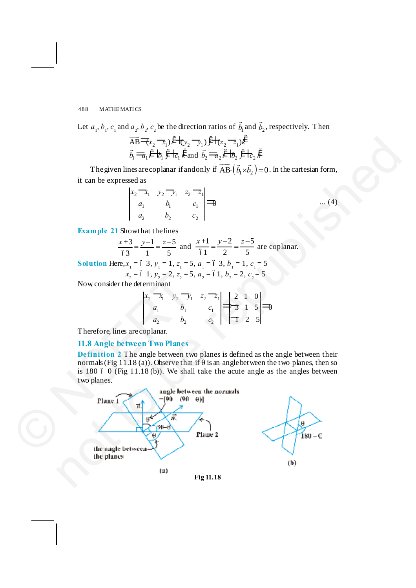Let  $a_1, b_1, c_1$  and  $a_2, b_2, c_2$  be the direction ratios of  $\vec{b}_1$  and  $\vec{b}_2$ , respectively. Then

$$
\overrightarrow{AB} = (x_2 - x_1)i^4 + (y_2 - y_1)j^4 + (z_2 - z_1)k^4
$$
  

$$
\overrightarrow{b_1} = \overrightarrow{a_1}i^4 + \overrightarrow{b_1}j^4 + \overrightarrow{c_1}k^2
$$
 and 
$$
\overrightarrow{b_2} = \overrightarrow{a_2}i^4 + \overrightarrow{b_2}j^4 + \overrightarrow{c_2}k^2
$$

The given lines are coplanar if and only if  $\overrightarrow{AB} \cdot (\overrightarrow{b_1} \times \overrightarrow{b_2}) = 0$ . In the cartesian form, it can be expressed as

| scu as  |                                                                                      |                           |  |  |
|---------|--------------------------------------------------------------------------------------|---------------------------|--|--|
|         |                                                                                      |                           |  |  |
|         | $\begin{vmatrix} x_2 & x_1 & y_2 & y_1 & z_2 & z_1 \\ a_1 & b_1 & c_1 \end{vmatrix}$ | $c_1 \mid \exists \theta$ |  |  |
| $a_{2}$ |                                                                                      |                           |  |  |

**Example 21** Show that the lines

$$
\frac{x+3}{63} = \frac{y-1}{1} = \frac{z-5}{5}
$$
 and 
$$
\frac{x+1}{61} = \frac{y-2}{2} = \frac{z-5}{5}
$$
 are coplanar.

**Solution** Here,  $x_1 = 6$  3,  $y_1 = 1$ ,  $z_1 = 5$ ,  $a_1 = 6$  3,  $b_1 = 1$ ,  $c_1 = 5$ 

$$
x_2 = 6
$$
 1,  $y_2 = 2$ ,  $z_2 = 5$ ,  $a_2 = 61$ ,  $b_2 = 2$ ,  $c_2 = 5$ 

Now, consider the determinant

$$
\begin{vmatrix} x_2 & x_1 & y_2 & y_1 & z_2 & z_1 \ a_1 & b_1 & c_1 & z_2 & z_1 \ a_2 & b_2 & c_2 & z_2 & z_3 \end{vmatrix} \begin{vmatrix} 2 & 1 & 0 \\ -3 & 1 & 5 \\ 1 & 2 & 5 \end{vmatrix} = 0
$$

Therefore, lines are coplanar.

## **11.8 Angle between Two Planes**

**Definition 2** The angle between two planes is defined as the angle between their normals (Fig 11.18 (a)). Observe that if  $\theta$  is an angle between the two planes, then so is 180 6  $\theta$  (Fig 11.18 (b)). We shall take the acute angle as the angles between two planes.

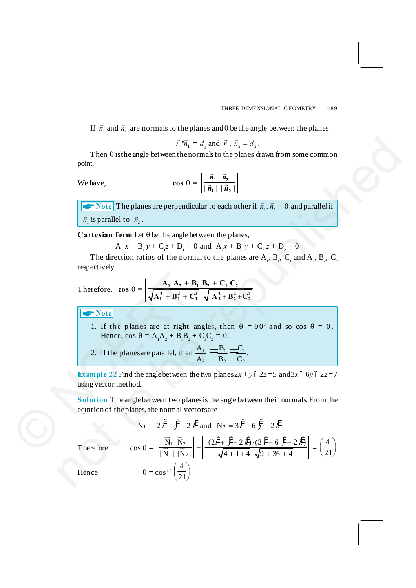If  $\vec{n}_1$  and  $\vec{n}_2$  are normals to the planes and  $\theta$  be the angle between the planes

$$
\vec{r} \cdot \vec{n}_1 = d_1 \text{ and } \vec{r} \cdot \vec{n}_2 = d_2.
$$

Then  $\theta$  is the angle between the normals to the planes drawn from some common point.

We have,

$$
\cos \theta = \left| \frac{\vec{n}_1 \cdot \vec{n}_2}{|\vec{n}_1| |\vec{n}_2|} \right|
$$

 $\blacktriangleright$  Note The planes are perpendicular to each other if  $\vec{n}_1 \cdot \vec{n}_2 = 0$  and parallel if  $\vec{n}_1$  is parallel to  $\vec{n}_2$ .

**Cartesian form** Let  $\theta$  be the angle between the planes,

$$
A_1 x + B_1 y + C_1 z + D_1 = 0
$$
 and  $A_2 x + B_2 y + C_2 z + D_2 = 0$ 

The direction ratios of the normal to the planes are  $A_1$ ,  $B_1$ ,  $C_1$  and  $A_2$ ,  $B_2$ ,  $C_2$ respectively.

Therefore, 
$$
\cos \theta = \left| \frac{A_1 A_2 + B_1 B_2 + C_1 C_2}{\sqrt{A_1^2 + B_1^2 + C_1^2}} \frac{B_2 + C_1 C_2}{\sqrt{A_2^2 + B_2^2 + C_2^2}} \right|
$$
  
\n**Notice**  
\n1. If the planes are at right angles, then  $\theta = \theta$   
\nHence,  $\cos \theta = A_1 A_2 + B_1 B_2 + C_1 C_2 = 0$ .  
\n2. If the planes are parallel, then  $\frac{A_1}{A_2} = \frac{B_1}{B_2} = \frac{C_1}{C_2}$ .  
\n**Example 22** Find the angle between the two planes  $2x + y$  (using vector method.  
\n**Solution** The angle between two planes is the angle between the two planes, the normal vectors are  
\n $\vec{N}_1 = 2 \hat{i}^2 + \hat{j} - 2 \hat{k}^2$  and  $\vec{N}_2 = 3 \hat{i}^2 - 6$   
\nTherefore  $\cos \theta = \left| \frac{\vec{N}_1 \cdot \vec{N}_2}{\sqrt{N_1 + \vec{N}_2}} \right| = \left| \frac{(2 \hat{i}^2 + \hat{j}^2 - 2 \hat{k})}{\sqrt{A_1 + \vec{A}} + \vec{A_2}} \right|$ 

A**Note**

- 1. If the planes are at right angles, then  $\theta = 90^\circ$  and so cos  $\theta = 0$ . Hence, cos  $\theta = A_1 A_2 + B_1 B_2 + C_1 C_2 = 0$ .
- 2. If the planes are parallel, then  $\frac{A_1}{A_2} = \frac{B_1}{A_2}$ 2  $D_2$   $C_2$  $A_1 \longrightarrow B_1 \longrightarrow C$  $\frac{A_1}{A_2} = \frac{B_1}{B_2} = \frac{C_1}{C_2}.$

**Example 22** Find the angle between the two planes  $2x + y$  ó  $2z = 5$  and  $3x$  ó 6*y* ó  $2z = 7$ using vector method.

**Solution** The angle between two planes is the angle between their normals. From the equation of the planes, the normal vectors are

$$
\vec{r} \cdot \vec{n}_1 = d_1
$$
 and  $\vec{r} \cdot \vec{n}_2 = d_2$ .  
\nThen θ is the angle between the normals to the planes drawn from some common  
\npoint.  
\nWe have,  
\n
$$
\cos \theta = \left| \frac{\vec{n}_1 \cdot \vec{n}_2}{|\vec{n}_1| |\vec{n}_2|} \right|
$$
\n
$$
\left| \frac{\nabla \text{Note}}{\vec{n}_1} \text{B plane} \text{ are perpendicular to each other if } \vec{n}_1 \cdot \vec{n}_2 = 0 \text{ and parallel if } \vec{n}_1 \text{ is parallel to } \vec{n}_2.
$$
\n
$$
\text{Cartesian form } \text{Let } \theta \text{ be the angle between the planes,}
$$
\n
$$
A_1 x + B_1 y + C_1 z + D_1 = 0 \text{ and } A_2 x + B_2 y + C_2 z + D_2 = 0
$$
\nThe direction ratios of the normal to the planes are A₁, B₁, C₁ and A₂, B₂, C₂  
\nrespectively.  
\nTherefore,  $\cos \theta = \left| \frac{A_1 A_2 + B_1 B_2 + C_1 C_2}{\sqrt{A_1^2 + B_1^2 + C_1^2} \sqrt{A_2^2 + B_2^2 + C_2^2}} \right|$   
\n
$$
\left| \frac{\nabla \text{Note}}{\text{Note!}}
$$
\n1. If the planes are at right angles, then  $\theta = 90^\circ$  and so  $\cos \theta = 0$ .  
\nHence,  $\cos \theta = A_1 A_2 + B_1 B_2 + C_1 C_2 = 0$ .  
\n2. If the planes are parallel, then  $\frac{A_1}{A_2} = \frac{B_1}{B_2} = \frac{C_1}{C_2}$ .  
\nExample 22 Find the angle between the two planes 2*x* + *y* 6 2*z* = 5 and 3*x* 6 6*y* 6 2*z* = 7  
\nusing vector method.  
\nSolution The angle between two planes is the angle between their normals from the equation of the planes, the normal vectors are  
\n
$$
\vec{N}_1 = 2 \vec{r} + \vec{y} - 2 \vec{k}
$$
\nand  $\vec{N}_2 = 3 \vec{r} - 6 \vec{y} - 2 \vec{k}$   
\nTherefore

Therefore

Hence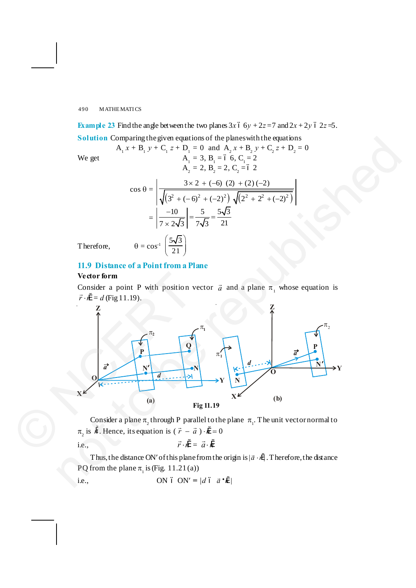**Example 23** Find the angle between the two planes  $3x$  6  $6y + 2z = 7$  and  $2x + 2y$  6  $2z = 5$ . **Solution** Comparing the given equations of the planes with the equations

 $A_1 x + B_1 y + C_1 z + D_1 = 0$  and  $A_2 x + B_2 y + C_2 z + D_2 = 0$ 

 $= 3, B<sub>1</sub> = 6, C<sub>1</sub> = 2$ 

We get

$$
A_2 = 2, B_2 = 2, C_2 = 6 2
$$
  

$$
\cos \theta = \sqrt{\frac{3 \times 2 + (-6)(2) + (2)(-2)}{\sqrt{(3^2 + (-6)^2 + (-2)^2)} \sqrt{(2^2 + 2^2 + (-2)^2)}}}} = \sqrt{\frac{-10}{7 \times 2\sqrt{3}}} = \frac{5}{7\sqrt{3}} = \frac{5\sqrt{3}}{21}
$$
  

$$
\theta = \cos^{-1}\left(\frac{5\sqrt{3}}{21}\right)
$$

Therefore,

## **11.9 Distance of a Point from a Plane**

#### **Vector form**

Consider a point P with position vector  $\vec{a}$  and a plane  $\pi_1$  whose equation is  $\vec{r} \cdot \hat{n} = d$  (Fig 11.19).



Consider a plane  $\pi$ <sub>2</sub> through P parallel to the plane  $\pi$ <sub>1</sub>. The unit vector normal to  $\pi$ <sub>2</sub> is  $\hat{n}$ . Hence, its equation is ( $\vec{r} - \vec{a}$ )  $\hat{n} = 0$ 

i.e.,  $\vec{r} \cdot \hat{n} = \vec{a} \cdot \hat{n}$ 

Thus, the distance ON' of this plane from the origin is  $|\vec{a} \cdot \hat{n}|$ . Therefore, the distance PQ from the plane  $\pi$ <sub>1</sub> is (Fig. 11.21(a))

i.e., ON 6 ON' =  $|d \theta \vec{a} \cdot \hat{n}|$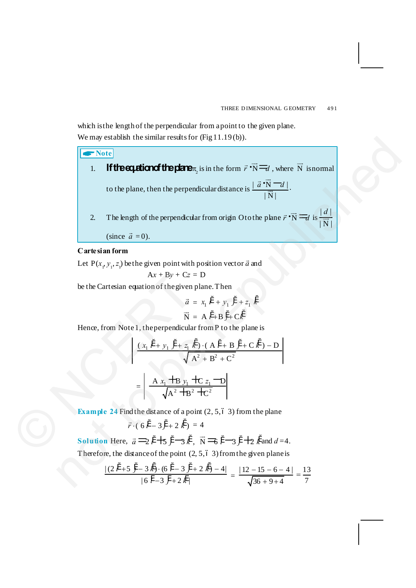which is the length of the perpendicular from a point to the given plane. We may establish the similar results for (Fig 11.19(b)).

A**Note** 1. **If the equation of the plane**  $\pi$  is in the form  $\vec{r} \cdot \vec{N} = d$ , where  $\vec{N}$  is normal to the plane, then the perpendicular distance is  $\frac{\mid \vec{a} \cdot N \mid d \mid}{\rightarrow}$  $|N|$  $\vec{a} \cdot \vec{N}$  -  $d$  $\frac{d}{dx}$ . 2. The length of the perpendicular from origin O to the plane  $\vec{r} \cdot \vec{N} = d$  is  $\frac{|d|}{|\vec{N}|}$  $\mid$  N  $\mid$ *d*  $\frac{1}{\sqrt{1}}$ (since  $\vec{a} = 0$ ). We may establish the similar results for drig 11.19(b)).<br>
1. **If the cylicinof the plane**, is in the form  $\vec{r}:\vec{N} \equiv \vec{r}$ , where  $\vec{N}$  is<br>
to the plane, then the perpendicular distance is  $\frac{1}{\vec{N}}\vec{N} = \vec{r}$ , wh

#### **Cartesian form**

Let  $P(x_1, y_1, z_1)$  be the given point with position vector  $\vec{a}$  and

$$
Ax + By + Cz = D
$$

be the Cartesian equation of the given plane. Then

$$
\vec{a} = x_1 \vec{i} + y_1 \vec{j} + z_1 \vec{k}
$$

$$
\vec{N} = A \vec{i} + B \vec{j} + C \vec{k}
$$

Hence, from Note 1, the perpendicular from P to the plane is

$$
Ax + By + Cz = D
$$
  
be the Cartesian equation of the given plane. Then  

$$
\vec{a} = x_1 \vec{i} + y_1 \vec{j} + z_1 \vec{k}
$$

$$
\vec{N} = A \vec{i} + B \vec{j} + C \vec{k}
$$
  
Hence, from Note 1, the perpendicular from P to the plane is  

$$
\begin{vmatrix} \frac{(x_1 \vec{i} + y_1 \vec{j} + z_1 \vec{k}) \cdot (A \vec{i} + B \vec{j} + C \vec{k}) - D}{\sqrt{A^2 + B^2 + C^2}} \end{vmatrix}
$$

$$
= \begin{vmatrix} \frac{A x_1 + B y_1 + C z_1 - D}{\sqrt{A^2 + B^2 + C^2}} \\ \frac{(A \vec{i} + B y_1 + C z_1 - D)}{\sqrt{A^2 + B^2 + C^2}} \end{vmatrix}
$$
  
Example 24 Find the distance of a point (2, 5, 6, 3) from the plane  
 $\vec{r} \cdot (6 \vec{i} - 3 \vec{j} + 2 \vec{k}) = 4$   
Solution Here,  $\vec{a} = 2 \vec{i} + 5 \vec{j} - 3 \vec{k}$ ,  $\vec{N} = 6 \vec{i} - 3 \vec{j} + 2 \vec{k}$  and d =

**Example 24** Find the distance of a point  $(2, 5, 6, 3)$  from the plane

$$
\vec{r} \cdot (6\,\hat{i}' - 3\,\hat{j} + 2\,\hat{k}') = 4
$$

**Solution** Here,  $\vec{a} \equiv 2i + 5j - 3k$ ,  $\vec{N} \equiv 6i - 3j + 2k$  and  $d = 4$ . Therefore, the distance of the point  $(2, 5, 6, 3)$  from the given plane is

$$
\frac{|(2i^*+5j^*+3k^*)\cdot (6i^*+3j^*+2k^*)-4|}{|6i^*+3j^*+2k^*|} = \frac{|12-15-6-4|}{\sqrt{36+9+4}} = \frac{13}{7}
$$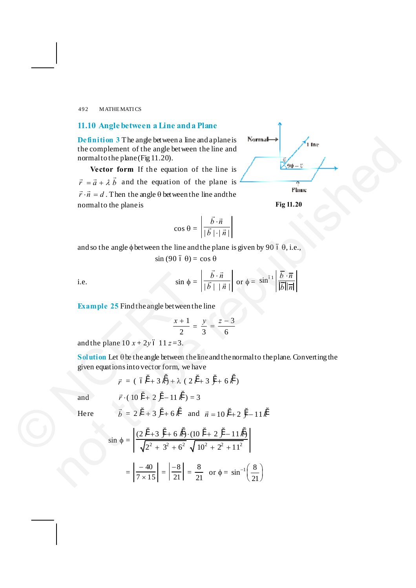## **11.10 Angle between a Line and a Plane**

**Definition 3** The angle between a line and a plane is the complement of the angle between the line and normal to the plane (Fig 11.20).

Vector form If the equation of the line is  $\vec{r} = \vec{a} + \lambda \vec{b}$  and the equation of the plane is  $\vec{r} \cdot \vec{n} = d$ . Then the angle  $\theta$  between the line and the normal to the plane is

> $\cos \theta = \left| \frac{\vec{b} \cdot \vec{n}}{\left| \vec{b} \right| \cdot \left| \vec{n} \right|} \right|$  $b \cdot \vec{n}$  $\vec{b}$   $|\cdot|$   $\vec{n}$ × ×  $\vec{b} \cdot \vec{n}$  $\frac{1}{\vec{h} + \vec{u}}$

and so the angle  $\phi$  between the line and the plane is given by 90  $\acute{o}$   $\theta$ , i.e.,

$$
\sin(90\ 6\ \theta) = \cos\theta
$$

i.e.  $\sin \phi = \frac{\sqrt{1 + \vec{b}}}{\sqrt{1 + \vec{b}} + \sqrt{1 + \vec{b}}}}$  $b \cdot \vec{n}$  $\vec{b}$  |  $|\vec{n}|$  $\frac{\vec{b} \cdot \vec{n}}{\vec{b} + |\vec{n}|}$  or  $\phi = \sin^{61} \left| \frac{\vec{b} \cdot \vec{n}}{|\vec{b}| |\vec{n}|} \right|$ ×

**Example 25** Find the angle between the line

$$
\frac{x+1}{2} = \frac{y}{3} = \frac{z-3}{6}
$$

and the plane  $10 x + 2y 6 11 z = 3$ .

 $\frac{1}{i}$ 

 $S$ olution Let  $\theta$  be the angle between the line and the normal to the plane. Converting the given equations into vector form, we have

$$
\vec{r} = (6\,\hat{i}^{\,\prime} + 3\,\hat{k}) + \lambda (2\,\hat{i}^{\,\prime} + 3\,\hat{j} + 6\,\hat{k})
$$

and 
$$
\vec{r} \cdot (10 \hat{i} + 2 \hat{j} - 11 \hat{k}^{\prime}) = 3
$$

Here *b*

$$
= 2 i' + 3 j' + 6 k' \text{ and } \vec{n} = 10 i' + 2 j' - 11 k'
$$

**Definition** 3 The angle between a line and a plane is  
\nthe complement of the angle between the line and  
\nnormal to the plane (Fig 11.20).  
\n**Vector form** If the equation of the plane is  
\n
$$
\vec{r} \cdot \vec{n} = d
$$
. Then the angle  $\theta$  between the line and  
\n $\vec{r} \cdot \vec{n} = d$ . Then the angle  $\theta$  between the line and  
\n
$$
\cos \theta = \left| \frac{\vec{b} \cdot \vec{n}}{|\vec{b}| + |\vec{n}|} \right|
$$
\nand so the angle  $\phi$  between the line and the plane is given by 90 6 0, i.e.,  
\n $\sin (90 \text{ } 60) = \cos 0$   
\ni.e.  $\sin (\theta) \cdot 60 = \cos 0$   
\ni.e.  $\sin \phi = \left| \frac{\vec{b} \cdot \vec{n}}{|\vec{b}| + |\vec{n}|} \right|$  or  $\phi = \sin^{61} \left| \frac{\vec{b} \cdot \vec{n}}{|\vec{b}| |\vec{n}|} \right|$   
\n**Example 25 Find the angle between the line and the normal to the plane. Converting the  
\ngiven equation is into vector form, we have  
\n $\vec{r} = (6\vec{i} + 3\vec{k}) + \lambda (2\vec{i} + 3\vec{j} + 6\vec{k})$   
\nand  $\vec{r} \cdot (10\vec{i} + 2\vec{j} - 11\vec{k}) = 3$   
\nHere  $\vec{b} = 2\vec{i} + 3\vec{j} + 6\vec{k}$  and  $\vec{n} = 10\vec{i} + 2\vec{j} - 11\vec{k}$   
\n $\sin \phi = \left| \frac{(2\vec{i} + 3\vec{j} + 6\vec{k}) \cdot (10\vec{i} + 2\vec{j} - 11\vec{k})}{\sqrt{2^2 + 3^2 + 6^2} \sqrt{10^2 + 2^2 + 11^2}} \right|$   
\n $= \left| \frac{-40}{7 \times 15} \right| = \left| \frac{-8}{21} \right| = \frac{8}{21}$  or  $\phi = \sin^{-1} \left( \frac{8}{21} \right)$** 

**Fig 11.20**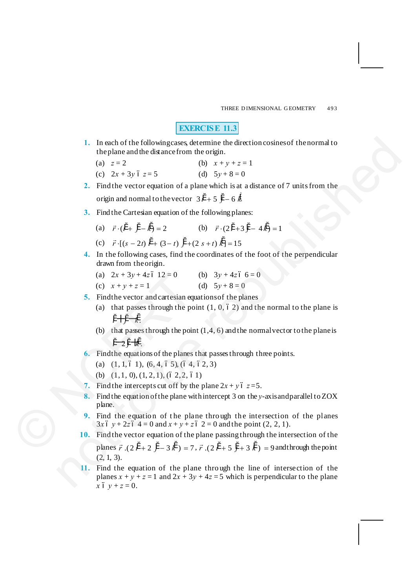THREE DIMENSIONAL GEOMETRY 493

## **EXERCISE 11.3**

- **1.** In each of the following cases, determine the direction cosines of the normal to the plane and the distance from the origin.
	- (a)  $z = 2$  (b)  $x + y + z = 1$
	- (c)  $2x + 3y$   $6z = 5$  (d)  $5y + 8 = 0$
- **2.** Find the vector equation of a plane which is at a distance of 7 units from the origin and normal to the vector  $3i^4 + 5j - 6k$
- **3.** Find the Cartesian equation of the following planes:
	- (a)  $\vec{r} \cdot (\hat{i} + \hat{j} \hat{k}) = 2$  (b)  $\vec{r} \cdot (2\hat{i} + 3\hat{j} 4\hat{k}) = 1$

(c) 
$$
\vec{r} \cdot [(s-2t) \hat{i} + (3-t) \hat{j} + (2s+t) \hat{k}] = 15
$$

- **4.** In the following cases, find the coordinates of the foot of the perpendicular drawn from the origin.
	- (a)  $2x + 3y + 4z$  6 12 = 0 (b)  $3y + 4z$  6  $= 0$
	- (c)  $x + y + z = 1$  (d)  $5y + 8 = 0$
- **5.** Find the vector and cartesian equations of the planes
	- (a) that passes through the point  $(1, 0, 6, 2)$  and the normal to the plane is  $\ddot{i}$   $\rightarrow$   $\ddot{k}$   $\rightarrow$   $\ddot{k}$   $\rightarrow$
	- (b) that passes through the point  $(1,4, 6)$  and the normal vector to the plane is  $\tilde{i}$   $\rightarrow$   $\tilde{i}$   $\rightarrow$   $\tilde{k}$ .
- **6.** Find the equations of the planes that passes through three points.
	- (a)  $(1, 1, 6, 1), (6, 4, 6, 5), (6, 4, 6, 2, 3)$
	- (b)  $(1, 1, 0), (1, 2, 1), (6, 2, 2, 6, 1)$
- **7.** Find the intercepts cut off by the plane  $2x + y$  ó  $z = 5$ .
- **8.** Find the equation of the plane with intercept 3 on the *y*-axis and parallel to ZOX plane. (a)  $2x + 3y + 4z6$  12 = 0<br>
(c)  $x + y + z = 1$ <br>
5. Find the vector and cartesian eq<br>
(a) that passes through the po<br>  $\ddot{r} + \ddot{y} - \dot{t}$ .<br>
(b) that passes through the poin<br>  $\ddot{r} - 2\ddot{y} - \dot{t}$ .<br>
(6. Find the equations of
	- **9.** Find the equation of the plane through the intersection of the planes  $3x 6 y + 2z 6 4 = 0$  and  $x + y + z 6 2 = 0$  and the point (2, 2, 1).
	- **10.** Find the vector equation of the plane passing through the intersection of the

planes  $\vec{r}$   $(2 \hat{i} + 2 \hat{j} - 3 \hat{k}) = 7$ ,  $\vec{r}$   $(2 \hat{i} + 5 \hat{j} + 3 \hat{k}) = 9$  and through the point  $(2, 1, 3)$ .

**11.** Find the equation of the plane thro ugh the line of intersection of the planes  $x + y + z = 1$  and  $2x + 3y + 4z = 5$  which is perpendicular to the plane  $x 6 y + z = 0.$ 1. In each of the following<br>cases, determines the direction ecoines of then mmal to<br>
the plane and the distance from the origin.<br>
(a)  $z = 2$ <br>
(b)  $x + y + z = 1$ <br>
(c)  $2x + 3y + 5 = 5$ <br>
2. Find the vector equation of a plane whic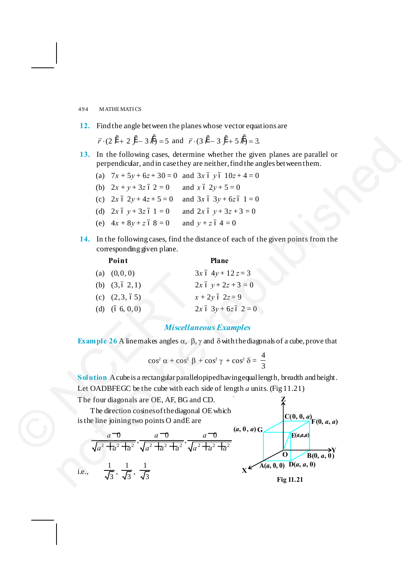## **12.** Find the angle between the planes whose vector equations are

 $\vec{r} \cdot (2 \hat{i} + 2 \hat{j} - 3 \hat{k}) = 5$  and  $\vec{r} \cdot (3 \hat{i} - 3 \hat{j} + 5 \hat{k}) = 3$ .

- **13.** In the following cases, determine whether the given planes are parallel or perpendicular, and in case they are neither, find the angles between them.
	- (a)  $7x + 5y + 6z + 30 = 0$  and  $3x$  6  $y$  6  $10z + 4 = 0$
	- (b)  $2x + y + 3z$   $62 = 0$  and  $x 62y + 5 = 0$
	- (c)  $2x 6 2y + 4z + 5 = 0$  and  $3x 6 3y + 6z 6 1 = 0$
	- (d)  $2x 6 y + 3z 6 1 = 0$  and  $2x 6 y + 3z + 3 = 0$
	- (e)  $4x + 8y + z \cdot 68 = 0$  and  $y + z \cdot 64 = 0$
- **14.** In the following cases, find the distance of each of the given points from the corresponding given plane.

#### **Point Plane**

| (0,0,0)<br>(a)                                                                                |                                                                                           | $3x 6 4y + 12 z = 3$          |           |
|-----------------------------------------------------------------------------------------------|-------------------------------------------------------------------------------------------|-------------------------------|-----------|
| (b) $(3, 6, 2, 1)$                                                                            |                                                                                           | $2x 6 y + 2z + 3 = 0$         |           |
| (c) $(2,3,65)$                                                                                |                                                                                           | $x + 2y$ ó 2z = 9             |           |
| (d) $(66, 0, 0)$                                                                              |                                                                                           | $2x 6 3y + 6z 6 2 = 0$        |           |
|                                                                                               |                                                                                           | <b>Miscellaneous Examples</b> |           |
| <b>Example 26</b> A linemakes angles $\alpha$ , $\beta$ , $\gamma$ and $\delta$ with the diag |                                                                                           |                               |           |
|                                                                                               | $\cos^2 \alpha + \cos^2 \beta + \cos^2 \gamma + \cos^2 \delta =$                          |                               |           |
| Solution Acube is a rectangular parallelopiped having equal                                   |                                                                                           |                               |           |
| Let OADBFEGC be the cube with each side of length a un                                        |                                                                                           |                               |           |
| The four diagonals are OE, AF, BG and CD.                                                     |                                                                                           |                               |           |
| The direction cosines of the diagonal OE which                                                |                                                                                           |                               |           |
| is the line joining two points O and E are                                                    |                                                                                           |                               |           |
| $a = 0$                                                                                       | $a = 0$<br>$\sqrt{a^2 + a^2 + a^2}$ , $\sqrt{a^2 + a^2 + a^2}$ , $\sqrt{a^2 + a^2 + a^2}$ | $a\rightarrow$                | (a, 0, a) |
|                                                                                               |                                                                                           |                               |           |

## *Miscellaneous Examples*

**Example 26** A line makes angles  $\alpha$ ,  $\beta$ ,  $\gamma$  and  $\delta$  with the diagonals of a cube, prove that

$$
\cos^2 \alpha + \cos^2 \beta + \cos^2 \gamma + \cos^2 \delta = \frac{4}{3}
$$

Solution A cube is a rectangular parallelopiped having equal length, breadth and height. Let OADBFEGC be the cube with each side of length *a* units. (Fig 11.21) **Z**

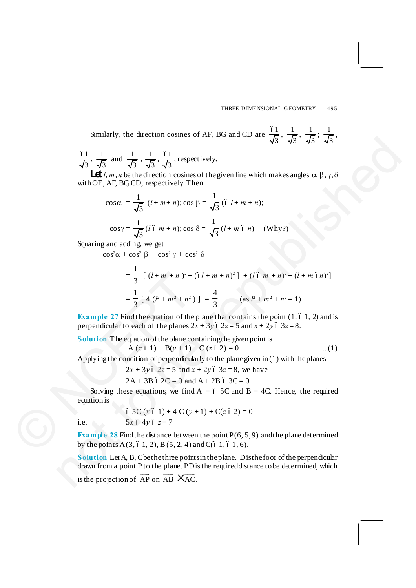Similarly, the direction cosines of AF, BG and CD are  $\frac{61}{\sqrt{3}}$ ,  $\frac{1}{\sqrt{3}}$ ; 3  $\frac{1}{\sqrt{2}}$ 

 $\frac{61}{\sqrt{3}}$ ,  $\frac{1}{\sqrt{3}}$  and  $\frac{1}{\sqrt{3}}$ ,  $\frac{1}{\sqrt{3}}$ ,  $\frac{61}{\sqrt{3}}$ , respectively.

**Let** *l*, *m*, *n* be the direction cosines of the given line which makes angles  $\alpha$ ,  $\beta$ ,  $\gamma$ ,  $\delta$ with OE, AF, BGCD, respectively. Then

$$
\cos \alpha = \frac{1}{\sqrt{3}} (l + m + n); \cos \beta = \frac{1}{\sqrt{3}} (6 l + m + n);
$$
  

$$
\cos \gamma = \frac{1}{\sqrt{3}} (l \cdot m + n); \cos \delta = \frac{1}{\sqrt{3}} (l + m \cdot \delta n) \quad \text{(Why?)}
$$

Squaring and adding, we get

 $\cos^2 \alpha + \cos^2 \beta + \cos^2 \gamma + \cos^2 \delta$ 

5. 
$$
\sqrt{3}
$$
,  $\sqrt{3}$ ,  $\sqrt{3}$ ,  $\sqrt{3}$ ,  $\sqrt{3}$ ,  $\sqrt{3}$ ,  $\sqrt{3}$ ,  $\sqrt{3}$ ,  $\sqrt{3}$ ,  $\sqrt{3}$ ,  $\sqrt{3}$ ,  $\sqrt{3}$ ,  $\sqrt{3}$ ,  $\sqrt{3}$ ,  $\sqrt{3}$ ,  $\sqrt{3}$ ,  $\sqrt{3}$ ,  $\sqrt{3}$ ,  $\sqrt{3}$ ,  $\sqrt{3}$ ,  $\sqrt{3}$ ,  $\sqrt{3}$ ,  $\sqrt{3}$ ,  $\sqrt{3}$ ,  $\sqrt{3}$ ,  $\sqrt{3}$ ,  $\sqrt{3}$ ,  $\sqrt{3}$ ,  $\sqrt{3}$ ,  $\sqrt{3}$ ,  $\sqrt{3}$ ,  $\sqrt{3}$ ,  $\sqrt{3}$ ,  $\sqrt{3}$ ,  $\sqrt{3}$ ,  $\sqrt{3}$ ,  $\sqrt{3}$ ,  $\sqrt{3}$ ,  $\sqrt{3}$ ,  $\sqrt{3}$ ,  $\sqrt{3}$ ,  $\sqrt{3}$ ,  $\sqrt{3}$ ,  $\sqrt{3}$ ,  $\sqrt{3}$ ,  $\sqrt{3}$ ,  $\sqrt{3}$ ,  $\sqrt{3}$ ,  $\sqrt{3}$ ,  $\sqrt{3}$ ,  $\sqrt{3}$ ,  $\sqrt{3}$ ,  $\sqrt{3}$ ,  $\sqrt{3}$ ,  $\sqrt{3}$ ,  $\sqrt{3}$ ,  $\sqrt{3}$ ,  $\sqrt{3}$ ,  $\sqrt{3}$ ,  $\sqrt{3}$ ,  $\sqrt{3}$ ,  $\sqrt{3}$ ,  $\sqrt{3}$ ,  $\sqrt{3}$ ,  $\sqrt{3}$ ,  $\sqrt{3}$ ,  $\sqrt{3}$ ,  $\sqrt{3}$ ,  $\sqrt{3}$ ,  $\sqrt{3}$ ,  $\sqrt{3}$ ,  $\sqrt{3}$ ,  $\sqrt{3}$ ,  $\sqrt{3}$ ,  $\sqrt{3}$ ,  $\sqrt{3}$ ,  $\sqrt{3}$ ,  $\sqrt{3}$ ,  $\sqrt{3}$ ,  $\sqrt{3}$ ,  $\sqrt{3}$ ,  $\sqrt{3}$ ,  $\sqrt{3}$ ,  $\sqrt{3}$ ,  $\sqrt{$ 

**Example 27** Find the equation of the plane that contains the point  $(1, 6, 1, 2)$  and is perpendicular to each of the planes  $2x + 3y$  ó  $2z = 5$  and  $x + 2y$  ó  $3z = 8$ .

**Solution** The equation of the plane containing the given point is

 $A (x 6 1) + B(y + 1) + C (z 6 2) = 0$  ... (1)

Applying the condition of perpendicularly to the plane given in (1) with the planes

 $2x + 3y$  ó  $2z = 5$  and  $x + 2y$  ó  $3z = 8$ , we have

 $2A + 3B$  6  $2C = 0$  and  $A + 2B$  6  $3C = 0$ 

Solving these equations, we find  $A = 6$  5C and  $B = 4C$ . Hence, the required equation is

 $65C (x 61) + 4 C (y + 1) + C(z 62) = 0$ i.e.  $5x 6 4y 6 z = 7$ 

**Example 28** Find the distance between the point  $P(6, 5, 9)$  and the plane determined by the points  $A(3, 6, 1, 2), B(5, 2, 4)$  and  $C(6, 1, 6, 1, 6)$ .

**Solution** Let A, B, C be the three points in the plane. Dist he foot of the perpendicular drawn from a point P to the plane. PD is the required distance to be determined, which is the projection of  $\overrightarrow{AP}$  on  $\overrightarrow{AB}$   $\times$  AC.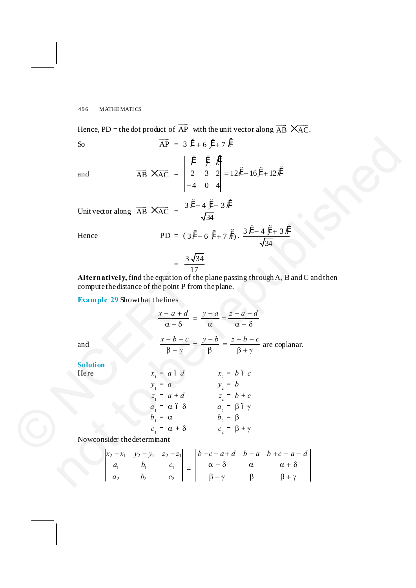Hence, PD = the dot product of  $\overrightarrow{AP}$  with the unit vector along  $\overrightarrow{AB} \times \overrightarrow{AC}$ .

So 
$$
\overrightarrow{AP} = 3 \overrightarrow{i} + 6 \overrightarrow{j} + 7 \overrightarrow{k}
$$

and 
$$
\overrightarrow{AB} \times \overrightarrow{AC} = \begin{vmatrix} i & j & k \\ 2 & 3 & 2 \\ -4 & 0 & 4 \end{vmatrix} = 12i^4 - 16j^4 + 12k^2
$$

PD = 
$$
(3i^4 + 6j^4 + 7k^4)
$$
.  $\frac{3i^4 - 4j^4 + 3k^4}{\sqrt{34}}$ 

$$
=\frac{3\sqrt{34}}{17}
$$

$$
\frac{x-a+d}{\alpha-\delta} = \frac{y-a}{\alpha} = \frac{z-a-d}{\alpha+\delta}
$$

$$
\frac{x-b+c}{\beta-\gamma} = \frac{y-b}{\beta} = \frac{z-b-c}{\beta+\gamma}
$$
 are coplanar.

|                                                                                                                                                                      | $\overrightarrow{AP}$ = 3 $\ddot{i}$ + 6 $\ddot{i}$ + 7 $\ddot{k}$<br>S <sub>o</sub>                                                                                                                                                                               |  |  |  |  |  |
|----------------------------------------------------------------------------------------------------------------------------------------------------------------------|--------------------------------------------------------------------------------------------------------------------------------------------------------------------------------------------------------------------------------------------------------------------|--|--|--|--|--|
|                                                                                                                                                                      | $\overrightarrow{AB} \times \overrightarrow{AC} = \begin{vmatrix} i & j & k \\ 2 & 3 & 2 \\ -4 & 0 & 4 \end{vmatrix} = 12i^2 - 16j^2 + 12k^2$<br>and                                                                                                               |  |  |  |  |  |
|                                                                                                                                                                      | Unit vector along $\overrightarrow{AB} \times \overrightarrow{AC} = \frac{3i^2 - 4j + 3k^2}{\sqrt{34}}$                                                                                                                                                            |  |  |  |  |  |
|                                                                                                                                                                      | PD = $(3i^4 + 6j^4 + 7k^4) \cdot \frac{3i^4 - 4j^4 + 3k^4}{\sqrt{34}}$<br>Hence                                                                                                                                                                                    |  |  |  |  |  |
| $=\frac{3\sqrt{34}}{17}$<br>Alternatively, find the equation of the plane passing through A, B and C and then<br>compute the distance of the point P from the plane. |                                                                                                                                                                                                                                                                    |  |  |  |  |  |
|                                                                                                                                                                      | <b>Example 29 Showthat the lines</b>                                                                                                                                                                                                                               |  |  |  |  |  |
|                                                                                                                                                                      |                                                                                                                                                                                                                                                                    |  |  |  |  |  |
|                                                                                                                                                                      | $\frac{x-a+d}{\alpha-\delta}=\frac{y-a}{\alpha}=\frac{z-a-d}{\alpha+\delta}$                                                                                                                                                                                       |  |  |  |  |  |
|                                                                                                                                                                      | $\frac{x-b+c}{8-y} = \frac{y-b}{8} = \frac{z-b-c}{8+y}$ are coplanar.<br>and                                                                                                                                                                                       |  |  |  |  |  |
|                                                                                                                                                                      | <b>Solution</b>                                                                                                                                                                                                                                                    |  |  |  |  |  |
|                                                                                                                                                                      | $x_1 = a 6 d$<br>$y_1 = a$<br>$y_2 = b$<br>$y_2 = b$<br>Here                                                                                                                                                                                                       |  |  |  |  |  |
|                                                                                                                                                                      |                                                                                                                                                                                                                                                                    |  |  |  |  |  |
|                                                                                                                                                                      | $z_1 = a + d$<br>$z_1 = \alpha + d$<br>$z_2 = b + c$<br>$z_3 = b + c$<br>$z_4 = \beta + c$<br>$z_5 = b + c$<br>$z_6 = b + c$<br>$z_7 = b + c$<br>$z_8 = b + c$<br>$z_9 = b + c$                                                                                    |  |  |  |  |  |
|                                                                                                                                                                      |                                                                                                                                                                                                                                                                    |  |  |  |  |  |
|                                                                                                                                                                      | $c_1 = \alpha + \delta$ $c_2 = \beta + \gamma$                                                                                                                                                                                                                     |  |  |  |  |  |
|                                                                                                                                                                      | Nowconsider the determinant                                                                                                                                                                                                                                        |  |  |  |  |  |
|                                                                                                                                                                      | $\begin{bmatrix} x_2 - x_1 & y_2 - y_1 & z_2 - z_1 \ a_1 & b_1 & c_1 \ a_2 & b_2 & c_2 \end{bmatrix} = \begin{bmatrix} b - c - a + d & b - a & b + c - a - d \ \alpha - \delta & \alpha & \alpha + \delta \ \beta - \gamma & \beta & \beta + \gamma \end{bmatrix}$ |  |  |  |  |  |

$$
\begin{vmatrix} x_2 - x_1 & y_2 - y_1 & z_2 - z_1 \ a_1 & b_1 & c_1 \ a_2 & b_2 & c_2 \end{vmatrix} = \begin{vmatrix} b - c - a + d & b - a & b + c - a - d \ a - \delta & \alpha & \alpha + \delta \ \beta - \gamma & \beta & \beta + \gamma \end{vmatrix}
$$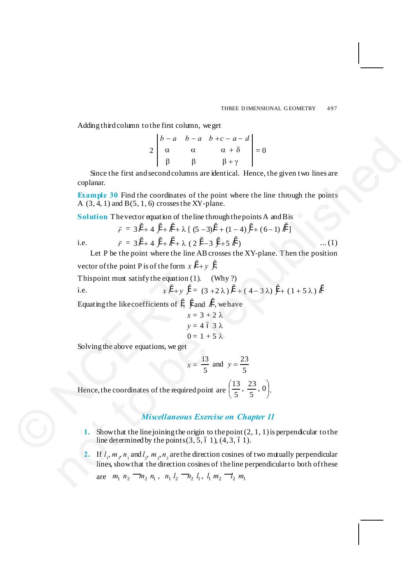Adding third column to the first column, we get

$$
2\begin{vmatrix}b-a & b-a & b+c-a-d\\ \alpha & \alpha & \alpha+\delta\\ \beta & \beta & \beta+\gamma\end{vmatrix} = 0
$$

Since the first and second columns are identical. Hence, the given two lines are coplanar.

**Example 30** Find the coordinates of the point where the line through the points A  $(3, 4, 1)$  and B $(5, 1, 6)$  crosses the XY-plane.

Solution The vector equation of the line through the points A and B is

$$
\vec{r} = 3\,\ddot{i} + 4\,\ddot{j} + \ddot{k} + \lambda\,[\,(5-3)\ddot{i} + (1-4)\,\ddot{j} + (6-1)\,\ddot{k}\,]
$$

i.e. *r*

 $\vec{r} = 3\hat{i} + 4\hat{j} + \hat{k} + \lambda (2\hat{i} - 3\hat{j} + 5\hat{k})$  .... (1) Let P be the point where the line AB crosses the XY-plane. Then the position

vector of the point P is of the form  $x i' + y j'$ .

This point must satisfy the equation  $(1)$ . (Why ?)

i.e. 
$$
x i' + y j' = (3 + 2 \lambda) i' + (4 - 3 \lambda) j' + (1 + 5 \lambda) k'
$$

Equating the like coefficients of  $\ddot{i}$ ,  $\ddot{j}$  and  $\ddot{k}$ , we have

$$
x = 3 + 2 \lambda
$$
  

$$
y = 4 \le 3 \lambda
$$
  

$$
0 = 1 + 5 \lambda
$$

Solving the above equations, we get

$$
x = \frac{13}{5}
$$
 and  $y = \frac{23}{5}$ 

Hence, the coordinates of the required point are  $\left(\frac{12}{5}, \frac{20}{5}, 0\right)$  $\left(\frac{13}{7}, \frac{23}{7}, 0\right)$ Ë  $\left(\frac{13}{2}, \frac{23}{2}, 0\right)$  $\frac{13}{5}, \frac{23}{5}, 0.$ This point must satisfy the equation (<br>
i.e.  $x t^2 + y t^3$ :<br>
Equating the like coefficients of  $t^2$ ,  $t^3$ <br>  $x$ :<br>  $y$ :<br>
O:<br>
Solving the above equations, we get<br>  $x$ :<br>
Hence, the coordinates of the required<br>
Miscellaneous<br>

## *Miscellaneous Exercise on Chapter 11*

- **1.** Show that the line joining the origin to the point (2, 1, 1) is perpendicular to the line determined by the points  $(3, 5, 6, 1)$ ,  $(4, 3, 6, 1)$ .
- 2. If  $l_1, m_1, n_1$  and  $l_2, m_2, n_2$  are the direction cosines of two mutually perpendicular lines, show that the direction cosines of the line perpendicular to both of these  $\begin{vmatrix}\n\frac{1}{2} & \frac{1}{2} & \frac{1}{2} & -\frac{1}{2} & -\frac{1}{2} & -\frac{1}{2} & -\frac{1}{2} \\
0 & \frac{1}{2} & \frac{1}{2} & \frac{1}{2} & \frac{1}{2} & \frac{1}{2} \\
0 & \frac{1}{2} & \frac{1}{2} & \frac{1}{2} & \frac{1}{2} & \frac{1}{2} \\
\frac{1}{2} & \frac{1}{2} & \frac{1}{2} & \frac{1}{2} & \frac{1}{2} & \frac{1}{2} & \frac{1}{2} \\
\frac{1}{2} & \frac{1}{$

are  $m_1$   $n_2$   $\overline{\phantom{m}}\phantom{m}_n$   $n_1$   $n_2$   $\overline{\phantom{m}}\phantom{m}_n$   $l_2$   $\overline{\phantom{m}}\phantom{m}_n$   $l_1$  ,  $l_1$   $m_2$   $\overline{\phantom{m}}\phantom{m}_n$ ,  $m_1$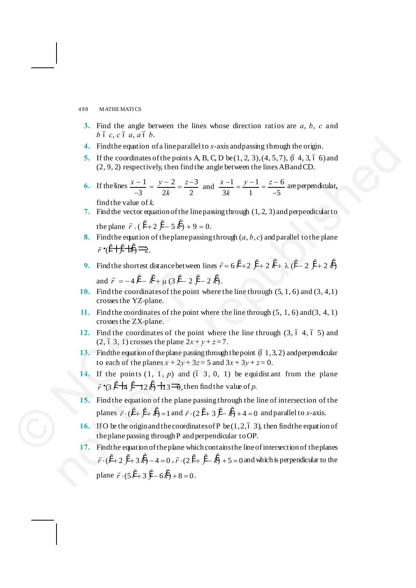- **3.** Find the angle between the lines whose direction ratios are *a*, *b*, *c* and  $b$   $\acute{o}$   $c$ ,  $c$   $\acute{o}$   $a$ ,  $a$   $\acute{o}$   $b$ .
- **4.** Find the equation of a line parallel to *x*-axis and passing through the origin.
- **5.** If the coordinates of the points A, B, C, D be  $(1, 2, 3)$ ,  $(4, 5, 7)$ ,  $(6, 4, 3, 6, 6)$  and (2, 9, 2) respectively, then find the angle between the lines AB and CD.
- **6.** If the lines  $\frac{x-1}{1} = \frac{y-2}{1} = \frac{z-3}{1}$  and  $\frac{x-1}{1} = \frac{y-1}{1} = \frac{z-6}{1}$ 3 2k 2 3k 1  $-5$  $x-1$   $y-2$   $z-3$   $x-1$   $y-1$  z  $\frac{-1}{-3} = \frac{y-2}{2k} = \frac{z-3}{2}$  and  $\frac{x-1}{3k} = \frac{y-1}{1} = \frac{z-6}{-5}$  are perpendicular, find the value of *k*.
- **7.** Find the vector equation of the line passing through (1, 2, 3) and perpendicular to the plane  $\vec{r}$ . ( $\hat{i}$  + 2  $\hat{j}$  - 5  $\hat{k}$ ) + 9 = 0.
- **8.** Find the equation of the plane passing through  $(a, b, c)$  and parallel to the plane  $\vec{r}$   $\cdot$   $\vec{i}$   $\pm$   $\vec{i}$   $\pm$   $\vec{k}$   $\rightarrow$
- **9.** Find the shortest distance between lines  $\vec{r} = 6\hat{i} + 2\hat{j} + 2\hat{k} + \lambda(\hat{i} 2\hat{j} + 2\hat{k})$ and  $\vec{r} = -4i^{\circ} - \vec{k} + \mu (3i^{\circ} - 2j^{\circ} - 2k^{\circ}).$

**10.** Find the coordinates of the point where the line through (5, 1, 6) and (3, 4,1)

- crosses the YZ-plane. **11.** Find the coordinates of the point where the line through (5, 1, 6) and (3, 4, 1) crosses the ZX-plane.
- **12.** Find the coordinates of the point where the line through  $(3, 6, 4, 6, 5)$  and  $(2, 63, 1)$  crosses the plane  $2x + y + z = 7$ .
- **13.** Find the equation of the plane passing through the point  $(61, 3, 2)$  and perpendicular to each of the planes  $x + 2y + 3z = 5$  and  $3x + 3y + z = 0$ .
- **14.** If the points  $(1, 1, p)$  and  $(6, 3, 0, 1)$  be equidist ant from the plane  $\vec{r}$  **\***(3 i  $+\frac{1}{4}$  j  $+\frac{1}{2}$  i  $+\frac{1}{3}$   $+\frac{1}{9}$ , then find the value of p.
- **15.** Find the equation of the plane passing through the line of intersection of the planes  $\vec{r} \cdot (\hat{i} + \hat{j} + \hat{k}) = 1$  and  $\vec{r} \cdot (2\hat{i} + 3\hat{j} - \hat{k}) + 4 = 0$  and parallel to *x*-axis. and  $\vec{r} = -4\hat{i} - \hat{k} + \mu(3\hat{i} - 2)$ <br>
10. Find the coordinates of the poin<br>
crosses the YZ-plane.<br>
11. Find the coordinates of the poin<br>
crosses the ZX-plane.<br>
12. Find the coordinates of the poin<br>
(2, 6 3, 1) crosses the
	- **16.** If O be the origin and the coordinates of P be  $(1, 2, 6, 3)$ , then find the equation of the plane passing through P and perpendicular to OP.
- **17.** Find the equation of the plane which contains the line of intersection of the planes  $\vec{r} \cdot (\hat{i} + 2 \hat{j} + 3 \hat{k}) - 4 = 0$ ,  $\vec{r} \cdot (2 \hat{i} + \hat{j} - \hat{k}) + 5 = 0$  and which is perpendicular to the plane  $\vec{r} \cdot (5i' + 3i' - 6k) + 8 = 0$ . 3. If the coordinates of the points AB, C.D be (1, 2, 3), (4, 5, 3), (6, 4, 36, 6) and<br>
4. Finders occidinates of the points A.B, C.D be republished (2, 9, 2) respectively, then find the angle between the lines AB and C.D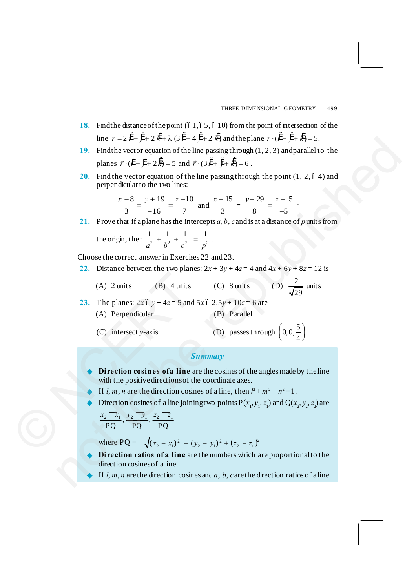.

- **18.** Find the distance of the point (61, 65, 610) from the point of intersection of the line  $\vec{r} = 2\hat{i} - \hat{j} + 2\hat{k} + \lambda(3\hat{i} + 4\hat{j} + 2\hat{k})$  and the plane  $\vec{r} \cdot (\hat{i} - \hat{j} + \hat{k}) = 5$ .
- **19.** Find the vector equation of the line passing through (1, 2, 3) and parallel to the planes  $\vec{r} \cdot (\hat{i} - \hat{j} + 2\hat{k}) = 5$  and  $\vec{r} \cdot (3\hat{i} + \hat{j} + \hat{k}) = 6$ . ine  $F = 2t^2 - 7 + 2k + 1.6(2t+4)(3t+4) + 2k$ ) and<br>the phenome F  $\cdot (t^2 - t^2 + k) = 5$ .<br>
19. Hotel to except exquation of the line passing through (1, 2, 3) and parallel to the<br>
planes  $\overline{r} \cdot (\overline{t} - \overline{f} + 2\overline{k}) = 5$  and  $\overline{$ 
	- **20.** Find the vector equation of the line passing through the point  $(1, 2, 6, 4)$  and perpendicular to the two lines:

$$
\frac{x-8}{3} = \frac{y+19}{-16} = \frac{z-10}{7}
$$
 and 
$$
\frac{x-15}{3} = \frac{y-29}{8} = \frac{z-5}{-5}
$$

**21.** Prove that if a plane has the intercepts *a*, *b*, *c* and is at a distance of *p* units from

the origin, then  $\frac{1}{a^2} + \frac{1}{b^2} + \frac{1}{a^2} = \frac{1}{a^2}$  $a^2$   $b^2$   $c^2$  p  $+\frac{1}{2}+\frac{1}{2}=\frac{1}{2}$ .

Choose the correct answer in Exercises 22 and 23.

- **22.** Distance between the two planes:  $2x + 3y + 4z = 4$  and  $4x + 6y + 8z = 12$  is
	- (A)  $2 \text{ units}$  (B)  $4 \text{ units}$  (C)  $8 \text{ units}$ 29 units
- **23.** The planes:  $2x 6 y + 4z = 5$  and  $5x 6 2.5y + 10z = 6$  are (A) Perpendicular (B) Parallel (A) 2 units (B) 4 units<br>
23. The planes:  $2x6y + 4z = 5$  and<br>
(A) Perpendicular<br>
(C) intersect y-axis<br>
5<br>
Direction cosines of a line a<br>
with the positive directions of the article<br>
Fig. 1, m, n are the direction cosines<br>
	- (C) intersect  $y$ -axis

D) passes through 
$$
\left(0, 0, \frac{5}{4}\right)
$$

### *Summary*

- Direction cosines of a line are the cosines of the angles made by the line with the positive directions of the coordinate axes.
- If  $l, m, n$  are the direction cosines of a line, then  $l^2 + m^2 + n^2 = 1$ .
- ▶ Direction cosines of a line joining two points <math>P(x\_1, y\_1, z\_1)</math> and <math>Q(x\_2, y\_2, z\_2)</math> are <math>x\_2 \, \overline{\phantom{a}} \, x\_1 \, y\_2 \, \overline{\phantom{a}} \, y\_1 \, z\_2 \, \overline{\phantom{a}} \, z\_1

$$
\frac{x_2 - x_1}{PQ}, \frac{y_2 - y_1}{PQ}, \frac{z_2 - z_1}{PQ}
$$

where  $PQ = \sqrt{(x_2 - x_1)^2 + (y_2 - y_1)^2 + (z_2 - z_1)^2}$  $(x_2 - x_1)^2 + (y_2 - y_1)^2 + (z_2 - z_1)^2$ 

- **Direction ratios of a line** are the numbers which are proportional to the direction cosines of a line.
- If  $l, m, n$  are the direction cosines and  $a, b, c$  are the direction ratios of a line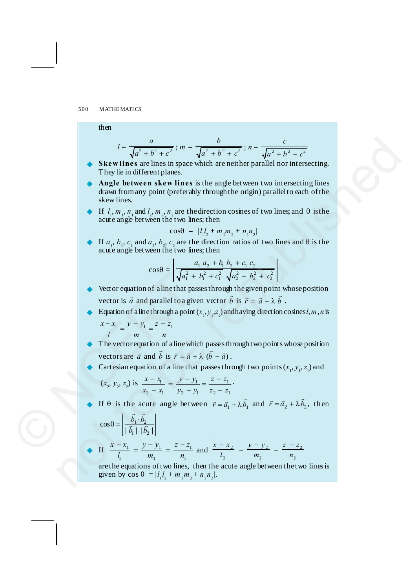then

$$
l = \frac{a}{\sqrt{a^2 + b^2 + c^2}}; \, m = \frac{b}{\sqrt{a^2 + b^2 + c^2}}; \, n = \frac{c}{\sqrt{a^2 + b^2 + c^2}}
$$

- Skew lines are lines in space which are neither parallel nor intersecting. They lie in different planes.
- Æ **Angle between skew lines** is the angle between two intersecting lines drawn from any point (preferably through the origin) parallel to each of the skew lines.  $I = \frac{a}{\sqrt{a^2 + b^2}}$ ,  $m = \frac{b}{\sqrt{a^2 + b^2 + c^2}}$ ;  $m = \frac{c}{\sqrt{a^2 + b^2 + c^2}}$ <br>
S **Exervision** is the summarized interactive parallel not intersecting.<br>
They lie in different planes,<br>  $\therefore$  **Angle between skew lines** is the ang
	- **Example 1** If  $l_1, m_1, n_1$  and  $l_2, m_2, n_2$  are the direction cosines of two lines; and  $\theta$  is the acute angle between the two lines; then

$$
\cos\theta = |l_1 l_2 + m_1 m_2 + n_1 n_2|
$$

► If  $a_1, b_1, c_1$  and  $a_2, b_2, c_2$  are the direction ratios of two lines and  $\theta$  is the acute angle between the two lines; then

$$
\cos\theta = \left| \frac{a_1 a_2 + b_1 b_2 + c_1 c_2}{\sqrt{a_1^2 + b_1^2 + c_1^2} \sqrt{a_2^2 + b_2^2 + c_2^2}} \right|
$$

- Vector equation of a line that passes through the given point whose position vector is  $\vec{a}$  and parallel to a given vector  $\vec{b}$  is  $\vec{r} = \vec{a} + \lambda \vec{b}$ .
- Equation of a line through a point  $(x_1, y_1, z_1)$  and having direction cosines *l*, *m*, *n* is

 $x - x_1$  *y - y*<sub>1</sub> <u>z - z</u><sub>1</sub> *l m n*  $\frac{-x_1}{\cdot} = \frac{y - y_1}{\cdot} = \frac{z - z_1}{\cdot}$ 

- The vector equation of a line which passes through two points whose position vectors are  $\vec{a}$  and  $\vec{b}$  is  $\vec{r} = \vec{a} + \lambda \left( \vec{b} - \vec{a} \right)$ . Vector equation of aline that pa<br>
vector is  $\vec{a}$  and parallel to a given<br>
Equation of aline through a point<br>  $\frac{x-x_1}{l} = \frac{y-y_1}{m} = \frac{z-z_1}{n}$ <br>
The vector equation of aline where<br>
vectors are  $\vec{a}$  and  $\vec{b}$  is  $\vec$ 
	- Exercisian equation of a line that passes through two points  $(x_1, y_1, z_1)$  and

$$
(x_2, y_2, z_2)
$$
 is  $\frac{x - x_1}{x_2 - x_1} = \frac{y - y_1}{y_2 - y_1} = \frac{z - z_1}{z_2 - z_1}$ .

If  $\theta$  is the acute angle between  $\vec{r} = \vec{a_1} + \lambda \vec{b_1}$  and  $\vec{r} = \vec{a_2} + \lambda \vec{b_2}$ , then

$$
\cos\theta = \left| \frac{\vec{b}_1 \cdot \vec{b}_2}{|\vec{b}_1| |\vec{b}_2|} \right|
$$

• If 
$$
\frac{x - x_1}{l_1} = \frac{y - y_1}{m_1} = \frac{z - z_1}{n_1}
$$
 and  $\frac{x - x_2}{l_2} = \frac{y - y_2}{m_2} = \frac{z - z_2}{n_2}$ 

are the equations of two lines, then the acute angle between the two lines is given by  $\cos \theta = |l_1 l_2 + m_1 m_2 + n_1 n_2|$ .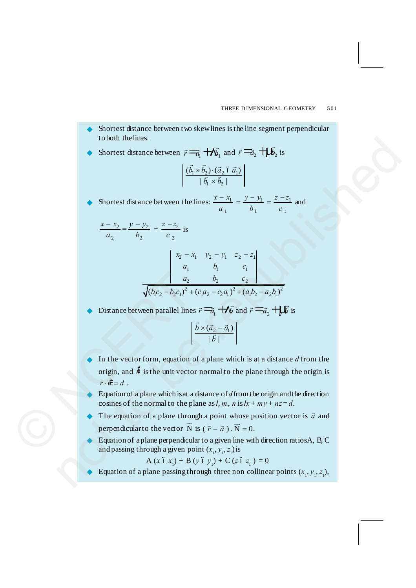Shortest distance between two skew lines is the line segment perpendicular to both the lines.

► Shortest distance between 
$$
\vec{r} = \vec{a_1} + \vec{b_1}
$$
 and  $\vec{r} = \vec{a_2} + \vec{b_2}$  is

$$
\frac{(\vec{b_1} \times \vec{b_2}) \cdot (\vec{a}_2 \land \vec{a_1})}{|\vec{b_1} \times \vec{b_2}|}
$$

Shortest distance between the lines:  $\frac{x - x_1}{a_1} = \frac{y - y_1}{b_1} = \frac{z - z_1}{c_1}$  $x - x_1$   $y - y_1$   $z - z$  $a_1$   $b_1$   $c_2$  $\frac{-x_1}{-x_2} = \frac{y - y_1}{-x_2} = \frac{z - z_1}{-z_2}$  and

$$
\frac{x - x_2}{a_2} = \frac{y - y_2}{b_2} = \frac{z - z_2}{c_2}
$$
 is

$$
\begin{array}{c|cc}\n & x_2 - x_1 & y_2 - y_1 & z_2 - z_1 \\
a_1 & b_1 & c_1 \\
a_2 & b_2 & c_2\n\end{array}
$$
\n
$$
\sqrt{(b_1c_2 - b_2c_1)^2 + (c_1a_2 - c_2a_1)^2 + (a_1b_2 - a_2b_1)^2}
$$

Distance between parallel lines  $\vec{r} = \vec{a_1} + \vec{b}$  and  $\vec{r} = \vec{a_2} + \vec{b}$  is

$$
\left| \frac{\vec{b} \times (\vec{a}_2 - \vec{a}_1)}{|\vec{b}|} \right|
$$

- In the vector form, equation of a plane which is at a distance *d* from the origin, and  $\ddot{n}$  is the unit vector normal to the plane through the origin is  $\vec{r} \cdot \vec{n} = d$ .  $\sqrt{(b_1c_2 - b_2c_1)^2 +}$ <br>  $\bullet$  Distance between parallel lines<br>  $\bullet$  In the vector form, equation of<br>
origin, and  $\ddot{n}$  is the unit vector<br>  $\vec{r} \cdot \vec{n} = d$ .<br>  $\bullet$  Equation of a plane which is at a<br>
cosines of the normal t 16 obth the lines.<br>
Shortest distance between  $y' = \frac{\pi}{10} + \frac{1}{10}y_1$  and  $\vec{r} = \frac{\pi}{2}y_2 + \frac{1}{10}y_1$  is<br>  $\left| \frac{(\vec{b}_2 \times \vec{b}_2)(\vec{a}_1 \times \vec{a}_1)}{(\vec{a}_1 \times \vec{b}_2)} \right|$ <br>  $\Rightarrow$  Shortest distance between the lines:  $\frac{x-x_1}{a$ 
	- Equation of a plane which is at a distance of *d* from the origin and the direction cosines of the normal to the plane as  $l, m, n$  is  $lx + my + nz = d$ .
	- $\blacklozenge$  The equation of a plane through a point whose position vector is  $\vec{a}$  and perpendicular to the vector  $\vec{N}$  is  $(\vec{r} - \vec{a}) \cdot \vec{N} = 0$ .
	- Equation of a plane perpendicular to a given line with direction ratios A, B, C and passing through a given point  $(x_1, y_1, z_1)$  is

$$
A (x \delta x_1) + B (y \delta y_1) + C (z \delta z_1) = 0
$$

Equation of a plane passing through three non collinear points  $(x_1, y_1, z_1)$ ,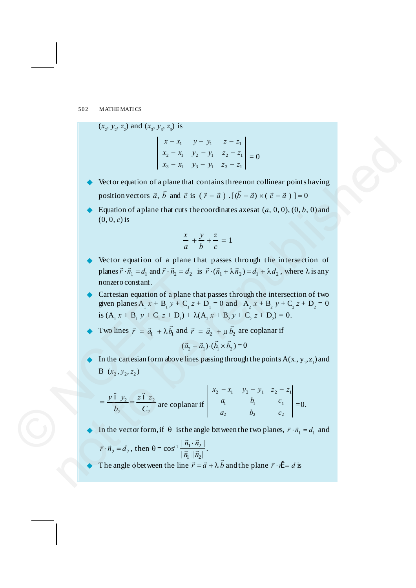$(x_2, y_2, z_2)$  and  $(x_3, y_3, z_3)$  is

 $3 - \lambda_1$   $\lambda_3 - \lambda_1$   $\lambda_3 - \lambda_1$ 2  $\lambda_1$   $\lambda_2$   $\lambda_1$   $\lambda_2$   $\lambda_1$ 1  $y - y_1$   $z - z_1$  $x_3 - x_1$   $y_3 - y_1$   $z_3 - z$  $x_2 - x_1$   $y_2 - y_1$   $z_2 - z$  $x - x_1$   $y - y_1$   $z - z$  $-x_1$   $y_3 - y_1$   $z_3$  –  $-x_1$   $y_2 - y_1$   $z_2$  –  $-x_1$   $y - y_1$   $z = 0$ 

- Vector equation of a plane that contains three non collinear points having position vectors  $\vec{a}$ ,  $\vec{b}$  and  $\vec{c}$  is ( $\vec{r} - \vec{a}$ ).  $[(\vec{b} - \vec{a}) \times (\vec{c} - \vec{a})] = 0$
- Equation of a plane that cuts the coordinates axes at  $(a, 0, 0)$ ,  $(0, b, 0)$  and (0, 0, *c*) is

$$
\frac{x}{a} + \frac{y}{b} + \frac{z}{c} = 1
$$

- Vector equation of a plane that passes through the intersection of planes  $\vec{r} \cdot \vec{n_1} = d_1$  and  $\vec{r} \cdot \vec{n_2} = d_2$  is  $\vec{r} \cdot (\vec{n_1} + \lambda \vec{n_2}) = d_1 + \lambda d_2$ , where  $\lambda$  is any nonzero constant. x x, y y, z = =,<br>
x, = x, y, -y, z, = =,<br>
x, = x, y, -y, z, = =,<br>
<br>
<br>
x Vector cequation of a plane that containst here non collinear points having<br>
position vectors  $\vec{a}$ ,  $\vec{b}$  and  $\vec{c}$  is  $(7 - \vec{a})$ ,  $( \vec{b} - \vec$
- Cartesian equation of a plane that passes through the intersection of two given planes  $A_1 x + B_1 y + C_1 z + D_1 = 0$  and  $A_2 x + B_2 y + C_2 z + D_2 = 0$ is  $(A_1 x + B_1 y + C_1 z + D_1) + \lambda (A_2 x + B_2 y + C_2 z + D_2) = 0.$ © NCERT
	- Two lines  $\vec{r} = \vec{a}_1 + \lambda \vec{b}_1$  and  $\vec{r} = \vec{a}_2 + \mu \vec{b}_2$  are coplanar if

$$
(\vec{a}_2 - \vec{a}_1) \cdot (\vec{b}_1 \times \vec{b}_2) = 0
$$

In the cartesian form above lines passing through the points  $A(x_1, y_1, z_1)$  and B  $(x_2, y_2, z_2)$ 

$$
= \frac{y \, \delta \, y_2}{b_2} = \frac{z \, \delta \, z_2}{C_2} \text{ are coplanar if } \begin{vmatrix} x_2 - x_1 & y_2 - y_1 & z_2 - z_1 \ a_1 & b_1 & c_1 \ a_2 & b_2 & c_2 \end{vmatrix} = 0.
$$

In the vector form, if  $\theta$  is the angle between the two planes,  $\vec{r} \cdot \vec{n}_1 = d_1$  and

$$
\vec{r} \cdot \vec{n}_2 = d_2, \text{ then } \theta = \cos^{01} \left| \frac{\vec{n}_1 \cdot \vec{n}_2}{\left| \vec{n}_1 \right| \left| \vec{n}_2 \right|} \right|.
$$

The angle  $\phi$  between the line  $\vec{r} = \vec{a} + \lambda \vec{b}$  and the plane  $\vec{r} \cdot \hat{n} = d$  is